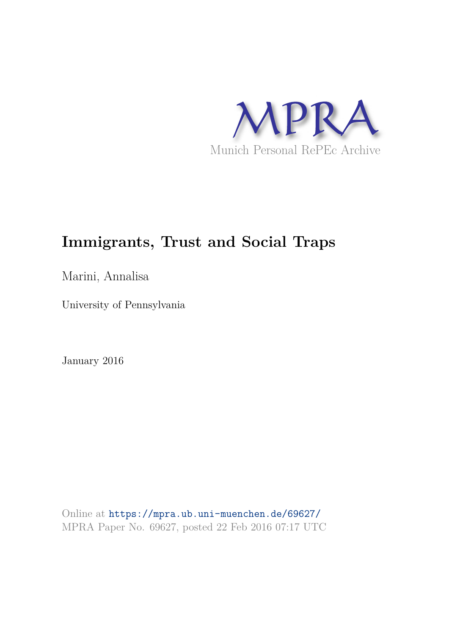

# **Immigrants, Trust and Social Traps**

Marini, Annalisa

University of Pennsylvania

January 2016

Online at https://mpra.ub.uni-muenchen.de/69627/ MPRA Paper No. 69627, posted 22 Feb 2016 07:17 UTC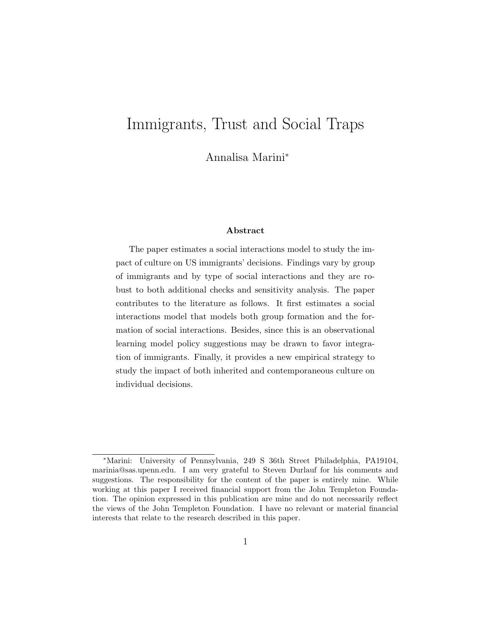## Immigrants, Trust and Social Traps

Annalisa Marini<sup>∗</sup>

#### Abstract

The paper estimates a social interactions model to study the impact of culture on US immigrants' decisions. Findings vary by group of immigrants and by type of social interactions and they are robust to both additional checks and sensitivity analysis. The paper contributes to the literature as follows. It first estimates a social interactions model that models both group formation and the formation of social interactions. Besides, since this is an observational learning model policy suggestions may be drawn to favor integration of immigrants. Finally, it provides a new empirical strategy to study the impact of both inherited and contemporaneous culture on individual decisions.

<sup>∗</sup>Marini: University of Pennsylvania, 249 S 36th Street Philadelphia, PA19104, marinia@sas.upenn.edu. I am very grateful to Steven Durlauf for his comments and suggestions. The responsibility for the content of the paper is entirely mine. While working at this paper I received financial support from the John Templeton Foundation. The opinion expressed in this publication are mine and do not necessarily reflect the views of the John Templeton Foundation. I have no relevant or material financial interests that relate to the research described in this paper.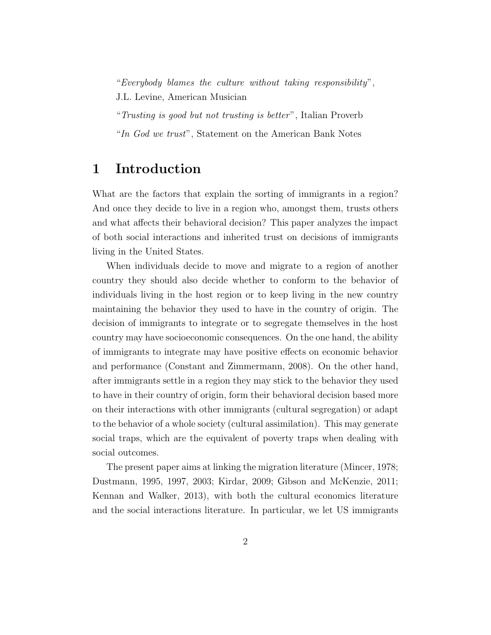"Everybody blames the culture without taking responsibility", J.L. Levine, American Musician

"Trusting is good but not trusting is better", Italian Proverb

"In God we trust", Statement on the American Bank Notes

## 1 Introduction

What are the factors that explain the sorting of immigrants in a region? And once they decide to live in a region who, amongst them, trusts others and what affects their behavioral decision? This paper analyzes the impact of both social interactions and inherited trust on decisions of immigrants living in the United States.

When individuals decide to move and migrate to a region of another country they should also decide whether to conform to the behavior of individuals living in the host region or to keep living in the new country maintaining the behavior they used to have in the country of origin. The decision of immigrants to integrate or to segregate themselves in the host country may have socioeconomic consequences. On the one hand, the ability of immigrants to integrate may have positive effects on economic behavior and performance (Constant and Zimmermann, 2008). On the other hand, after immigrants settle in a region they may stick to the behavior they used to have in their country of origin, form their behavioral decision based more on their interactions with other immigrants (cultural segregation) or adapt to the behavior of a whole society (cultural assimilation). This may generate social traps, which are the equivalent of poverty traps when dealing with social outcomes.

The present paper aims at linking the migration literature (Mincer, 1978; Dustmann, 1995, 1997, 2003; Kirdar, 2009; Gibson and McKenzie, 2011; Kennan and Walker, 2013), with both the cultural economics literature and the social interactions literature. In particular, we let US immigrants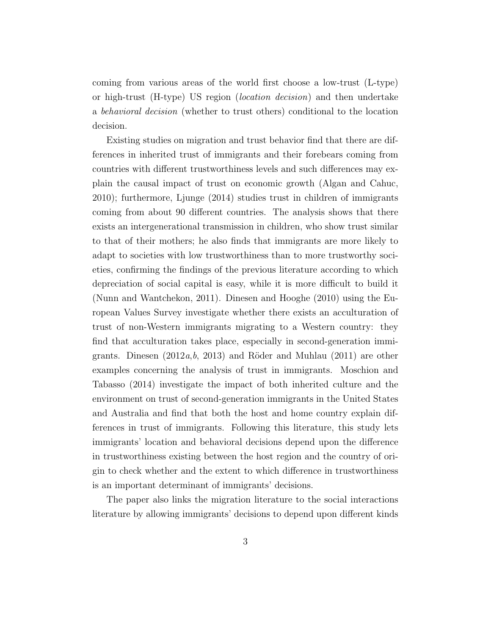coming from various areas of the world first choose a low-trust (L-type) or high-trust (H-type) US region (location decision) and then undertake a behavioral decision (whether to trust others) conditional to the location decision.

Existing studies on migration and trust behavior find that there are differences in inherited trust of immigrants and their forebears coming from countries with different trustworthiness levels and such differences may explain the causal impact of trust on economic growth (Algan and Cahuc, 2010); furthermore, Ljunge (2014) studies trust in children of immigrants coming from about 90 different countries. The analysis shows that there exists an intergenerational transmission in children, who show trust similar to that of their mothers; he also finds that immigrants are more likely to adapt to societies with low trustworthiness than to more trustworthy societies, confirming the findings of the previous literature according to which depreciation of social capital is easy, while it is more difficult to build it (Nunn and Wantchekon, 2011). Dinesen and Hooghe (2010) using the European Values Survey investigate whether there exists an acculturation of trust of non-Western immigrants migrating to a Western country: they find that acculturation takes place, especially in second-generation immigrants. Dinesen  $(2012a,b, 2013)$  and Röder and Muhlau  $(2011)$  are other examples concerning the analysis of trust in immigrants. Moschion and Tabasso (2014) investigate the impact of both inherited culture and the environment on trust of second-generation immigrants in the United States and Australia and find that both the host and home country explain differences in trust of immigrants. Following this literature, this study lets immigrants' location and behavioral decisions depend upon the difference in trustworthiness existing between the host region and the country of origin to check whether and the extent to which difference in trustworthiness is an important determinant of immigrants' decisions.

The paper also links the migration literature to the social interactions literature by allowing immigrants' decisions to depend upon different kinds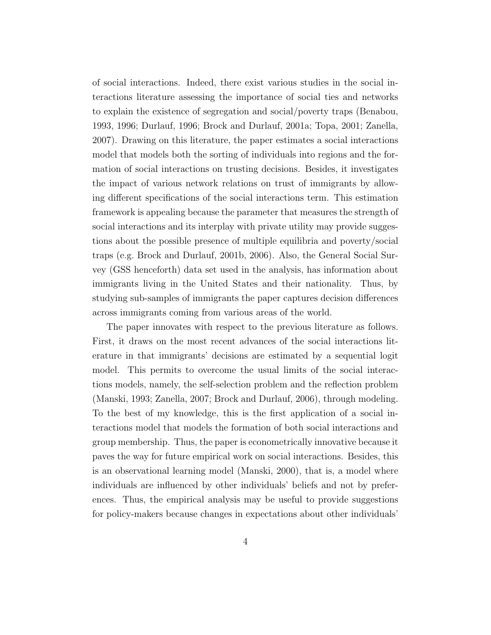of social interactions. Indeed, there exist various studies in the social interactions literature assessing the importance of social ties and networks to explain the existence of segregation and social/poverty traps (Benabou, 1993, 1996; Durlauf, 1996; Brock and Durlauf, 2001a; Topa, 2001; Zanella, 2007). Drawing on this literature, the paper estimates a social interactions model that models both the sorting of individuals into regions and the formation of social interactions on trusting decisions. Besides, it investigates the impact of various network relations on trust of immigrants by allowing different specifications of the social interactions term. This estimation framework is appealing because the parameter that measures the strength of social interactions and its interplay with private utility may provide suggestions about the possible presence of multiple equilibria and poverty/social traps (e.g. Brock and Durlauf, 2001b, 2006). Also, the General Social Survey (GSS henceforth) data set used in the analysis, has information about immigrants living in the United States and their nationality. Thus, by studying sub-samples of immigrants the paper captures decision differences across immigrants coming from various areas of the world.

The paper innovates with respect to the previous literature as follows. First, it draws on the most recent advances of the social interactions literature in that immigrants' decisions are estimated by a sequential logit model. This permits to overcome the usual limits of the social interactions models, namely, the self-selection problem and the reflection problem (Manski, 1993; Zanella, 2007; Brock and Durlauf, 2006), through modeling. To the best of my knowledge, this is the first application of a social interactions model that models the formation of both social interactions and group membership. Thus, the paper is econometrically innovative because it paves the way for future empirical work on social interactions. Besides, this is an observational learning model (Manski, 2000), that is, a model where individuals are influenced by other individuals' beliefs and not by preferences. Thus, the empirical analysis may be useful to provide suggestions for policy-makers because changes in expectations about other individuals'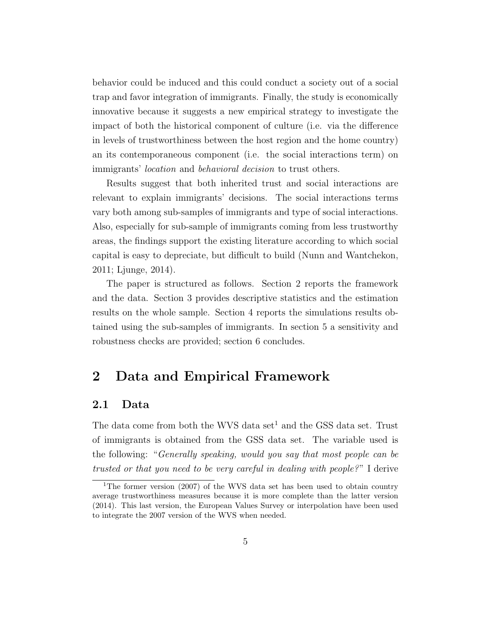behavior could be induced and this could conduct a society out of a social trap and favor integration of immigrants. Finally, the study is economically innovative because it suggests a new empirical strategy to investigate the impact of both the historical component of culture (i.e. via the difference in levels of trustworthiness between the host region and the home country) an its contemporaneous component (i.e. the social interactions term) on immigrants' location and behavioral decision to trust others.

Results suggest that both inherited trust and social interactions are relevant to explain immigrants' decisions. The social interactions terms vary both among sub-samples of immigrants and type of social interactions. Also, especially for sub-sample of immigrants coming from less trustworthy areas, the findings support the existing literature according to which social capital is easy to depreciate, but difficult to build (Nunn and Wantchekon, 2011; Ljunge, 2014).

The paper is structured as follows. Section 2 reports the framework and the data. Section 3 provides descriptive statistics and the estimation results on the whole sample. Section 4 reports the simulations results obtained using the sub-samples of immigrants. In section 5 a sensitivity and robustness checks are provided; section 6 concludes.

## 2 Data and Empirical Framework

#### 2.1 Data

The data come from both the WVS data set<sup>1</sup> and the GSS data set. Trust of immigrants is obtained from the GSS data set. The variable used is the following: "Generally speaking, would you say that most people can be trusted or that you need to be very careful in dealing with people?" I derive

<sup>&</sup>lt;sup>1</sup>The former version (2007) of the WVS data set has been used to obtain country average trustworthiness measures because it is more complete than the latter version (2014). This last version, the European Values Survey or interpolation have been used to integrate the 2007 version of the WVS when needed.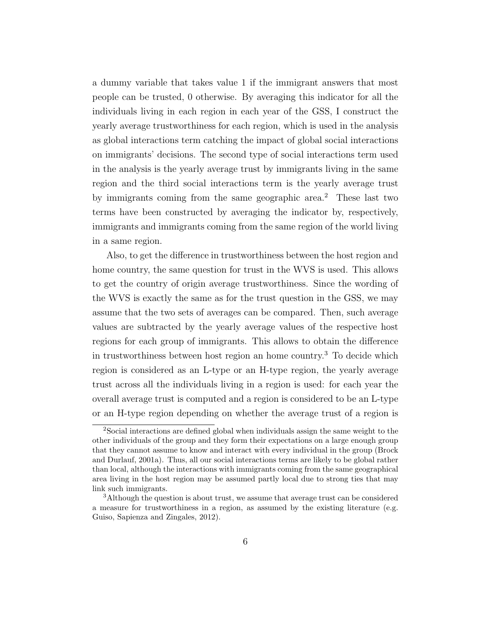a dummy variable that takes value 1 if the immigrant answers that most people can be trusted, 0 otherwise. By averaging this indicator for all the individuals living in each region in each year of the GSS, I construct the yearly average trustworthiness for each region, which is used in the analysis as global interactions term catching the impact of global social interactions on immigrants' decisions. The second type of social interactions term used in the analysis is the yearly average trust by immigrants living in the same region and the third social interactions term is the yearly average trust by immigrants coming from the same geographic area.<sup>2</sup> These last two terms have been constructed by averaging the indicator by, respectively, immigrants and immigrants coming from the same region of the world living in a same region.

Also, to get the difference in trustworthiness between the host region and home country, the same question for trust in the WVS is used. This allows to get the country of origin average trustworthiness. Since the wording of the WVS is exactly the same as for the trust question in the GSS, we may assume that the two sets of averages can be compared. Then, such average values are subtracted by the yearly average values of the respective host regions for each group of immigrants. This allows to obtain the difference in trustworthiness between host region an home country.<sup>3</sup> To decide which region is considered as an L-type or an H-type region, the yearly average trust across all the individuals living in a region is used: for each year the overall average trust is computed and a region is considered to be an L-type or an H-type region depending on whether the average trust of a region is

<sup>2</sup>Social interactions are defined global when individuals assign the same weight to the other individuals of the group and they form their expectations on a large enough group that they cannot assume to know and interact with every individual in the group (Brock and Durlauf, 2001a). Thus, all our social interactions terms are likely to be global rather than local, although the interactions with immigrants coming from the same geographical area living in the host region may be assumed partly local due to strong ties that may link such immigrants.

<sup>3</sup>Although the question is about trust, we assume that average trust can be considered a measure for trustworthiness in a region, as assumed by the existing literature (e.g. Guiso, Sapienza and Zingales, 2012).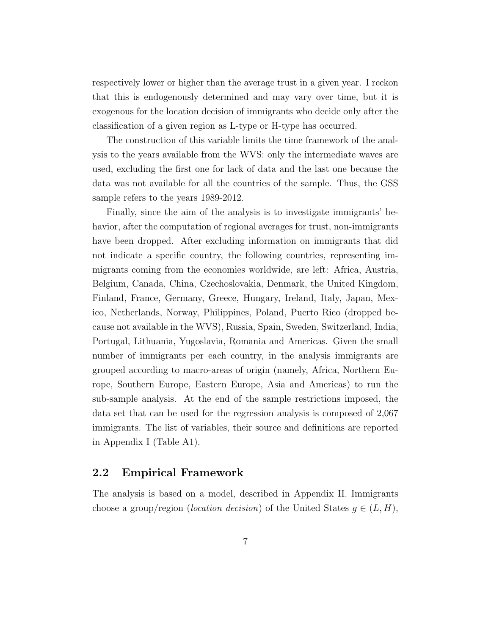respectively lower or higher than the average trust in a given year. I reckon that this is endogenously determined and may vary over time, but it is exogenous for the location decision of immigrants who decide only after the classification of a given region as L-type or H-type has occurred.

The construction of this variable limits the time framework of the analysis to the years available from the WVS: only the intermediate waves are used, excluding the first one for lack of data and the last one because the data was not available for all the countries of the sample. Thus, the GSS sample refers to the years 1989-2012.

Finally, since the aim of the analysis is to investigate immigrants' behavior, after the computation of regional averages for trust, non-immigrants have been dropped. After excluding information on immigrants that did not indicate a specific country, the following countries, representing immigrants coming from the economies worldwide, are left: Africa, Austria, Belgium, Canada, China, Czechoslovakia, Denmark, the United Kingdom, Finland, France, Germany, Greece, Hungary, Ireland, Italy, Japan, Mexico, Netherlands, Norway, Philippines, Poland, Puerto Rico (dropped because not available in the WVS), Russia, Spain, Sweden, Switzerland, India, Portugal, Lithuania, Yugoslavia, Romania and Americas. Given the small number of immigrants per each country, in the analysis immigrants are grouped according to macro-areas of origin (namely, Africa, Northern Europe, Southern Europe, Eastern Europe, Asia and Americas) to run the sub-sample analysis. At the end of the sample restrictions imposed, the data set that can be used for the regression analysis is composed of 2,067 immigrants. The list of variables, their source and definitions are reported in Appendix I (Table A1).

#### 2.2 Empirical Framework

The analysis is based on a model, described in Appendix II. Immigrants choose a group/region (location decision) of the United States  $q \in (L, H)$ ,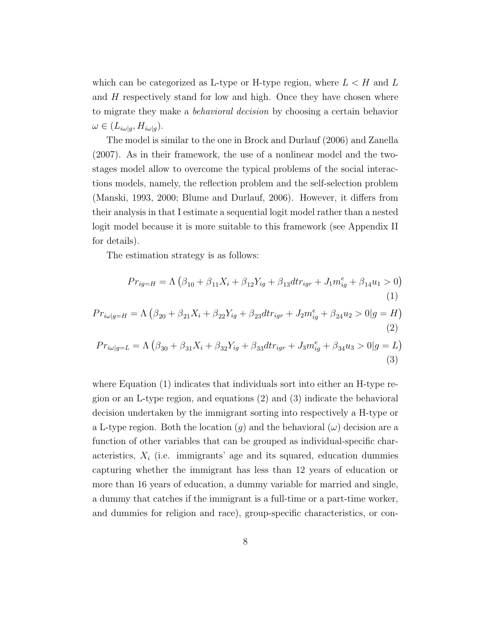which can be categorized as L-type or H-type region, where  $L < H$  and L and H respectively stand for low and high. Once they have chosen where to migrate they make a behavioral decision by choosing a certain behavior  $\omega \in (L_{i\omega|g}, H_{i\omega|g}).$ 

The model is similar to the one in Brock and Durlauf (2006) and Zanella (2007). As in their framework, the use of a nonlinear model and the twostages model allow to overcome the typical problems of the social interactions models, namely, the reflection problem and the self-selection problem (Manski, 1993, 2000; Blume and Durlauf, 2006). However, it differs from their analysis in that I estimate a sequential logit model rather than a nested logit model because it is more suitable to this framework (see Appendix II for details).

The estimation strategy is as follows:

$$
Pr_{ig=H} = \Lambda \left( \beta_{10} + \beta_{11} X_i + \beta_{12} Y_{ig} + \beta_{13} d t r_{igr} + J_1 m_{ig}^e + \beta_{14} u_1 > 0 \right)
$$
  
(1)  

$$
Pr_{i\omega|g=H} = \Lambda \left( \beta_{20} + \beta_{21} X_i + \beta_{22} Y_{ig} + \beta_{23} d t r_{igr} + J_2 m_{ig}^e + \beta_{24} u_2 > 0 | g = H \right)
$$
  
(2)  

$$
Pr_{i\omega|g=L} = \Lambda \left( \beta_{30} + \beta_{31} X_i + \beta_{32} Y_{ig} + \beta_{33} d t r_{igr} + J_3 m_{ig}^e + \beta_{34} u_3 > 0 | g = L \right)
$$
  
(3)

where Equation (1) indicates that individuals sort into either an H-type region or an L-type region, and equations (2) and (3) indicate the behavioral decision undertaken by the immigrant sorting into respectively a H-type or a L-type region. Both the location  $(g)$  and the behavioral  $(\omega)$  decision are a function of other variables that can be grouped as individual-specific characteristics,  $X_i$  (i.e. immigrants' age and its squared, education dummies capturing whether the immigrant has less than 12 years of education or more than 16 years of education, a dummy variable for married and single, a dummy that catches if the immigrant is a full-time or a part-time worker, and dummies for religion and race), group-specific characteristics, or con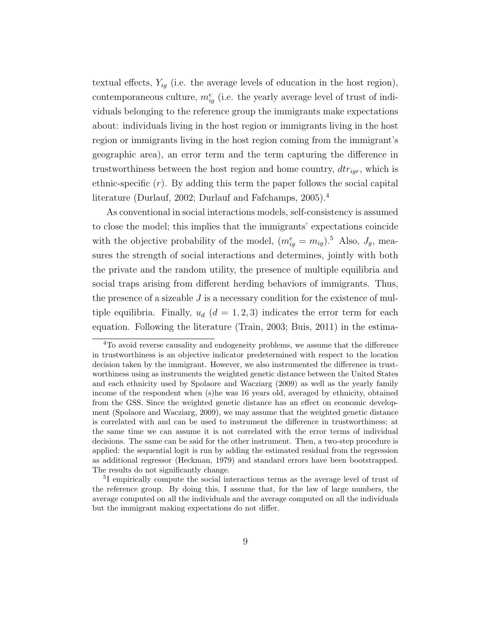textual effects,  $Y_{iq}$  (i.e. the average levels of education in the host region), contemporaneous culture,  $m_{ig}^e$  (i.e. the yearly average level of trust of individuals belonging to the reference group the immigrants make expectations about: individuals living in the host region or immigrants living in the host region or immigrants living in the host region coming from the immigrant's geographic area), an error term and the term capturing the difference in trustworthiness between the host region and home country,  $dtr_{igr}$ , which is ethnic-specific  $(r)$ . By adding this term the paper follows the social capital literature (Durlauf, 2002; Durlauf and Fafchamps, 2005).<sup>4</sup>

As conventional in social interactions models, self-consistency is assumed to close the model; this implies that the immigrants' expectations coincide with the objective probability of the model,  $(m_{ig}^e = m_{ig})$ .<sup>5</sup> Also,  $J_g$ , measures the strength of social interactions and determines, jointly with both the private and the random utility, the presence of multiple equilibria and social traps arising from different herding behaviors of immigrants. Thus, the presence of a sizeable  $J$  is a necessary condition for the existence of multiple equilibria. Finally,  $u_d$  ( $d = 1, 2, 3$ ) indicates the error term for each equation. Following the literature (Train, 2003; Buis, 2011) in the estima-

<sup>4</sup>To avoid reverse causality and endogeneity problems, we assume that the difference in trustworthiness is an objective indicator predetermined with respect to the location decision taken by the immigrant. However, we also instrumented the difference in trustworthiness using as instruments the weighted genetic distance between the United States and each ethnicity used by Spolaore and Wacziarg (2009) as well as the yearly family income of the respondent when (s)he was 16 years old, averaged by ethnicity, obtained from the GSS. Since the weighted genetic distance has an effect on economic development (Spolaore and Wacziarg, 2009), we may assume that the weighted genetic distance is correlated with and can be used to instrument the difference in trustworthiness; at the same time we can assume it is not correlated with the error terms of individual decisions. The same can be said for the other instrument. Then, a two-step procedure is applied: the sequential logit is run by adding the estimated residual from the regression as additional regressor (Heckman, 1979) and standard errors have been bootstrapped. The results do not significantly change.

<sup>5</sup> I empirically compute the social interactions terms as the average level of trust of the reference group. By doing this, I assume that, for the law of large numbers, the average computed on all the individuals and the average computed on all the individuals but the immigrant making expectations do not differ.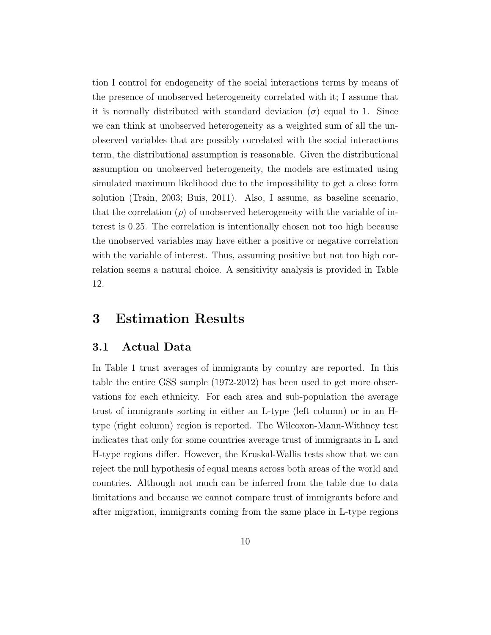tion I control for endogeneity of the social interactions terms by means of the presence of unobserved heterogeneity correlated with it; I assume that it is normally distributed with standard deviation  $(\sigma)$  equal to 1. Since we can think at unobserved heterogeneity as a weighted sum of all the unobserved variables that are possibly correlated with the social interactions term, the distributional assumption is reasonable. Given the distributional assumption on unobserved heterogeneity, the models are estimated using simulated maximum likelihood due to the impossibility to get a close form solution (Train, 2003; Buis, 2011). Also, I assume, as baseline scenario, that the correlation ( $\rho$ ) of unobserved heterogeneity with the variable of interest is 0.25. The correlation is intentionally chosen not too high because the unobserved variables may have either a positive or negative correlation with the variable of interest. Thus, assuming positive but not too high correlation seems a natural choice. A sensitivity analysis is provided in Table 12.

## 3 Estimation Results

#### 3.1 Actual Data

In Table 1 trust averages of immigrants by country are reported. In this table the entire GSS sample (1972-2012) has been used to get more observations for each ethnicity. For each area and sub-population the average trust of immigrants sorting in either an L-type (left column) or in an Htype (right column) region is reported. The Wilcoxon-Mann-Withney test indicates that only for some countries average trust of immigrants in L and H-type regions differ. However, the Kruskal-Wallis tests show that we can reject the null hypothesis of equal means across both areas of the world and countries. Although not much can be inferred from the table due to data limitations and because we cannot compare trust of immigrants before and after migration, immigrants coming from the same place in L-type regions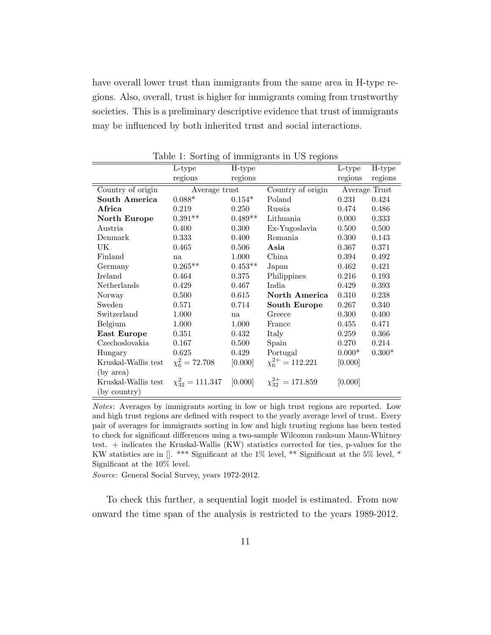have overall lower trust than immigrants from the same area in H-type regions. Also, overall, trust is higher for immigrants coming from trustworthy societies. This is a preliminary descriptive evidence that trust of immigrants may be influenced by both inherited trust and social interactions.

|                     | L-type                  | H-type    |                            | L-type   | H-type        |  |
|---------------------|-------------------------|-----------|----------------------------|----------|---------------|--|
|                     | regions                 | regions   |                            | regions  | regions       |  |
| Country of origin   | Average trust           |           | Country of origin          |          | Average Trust |  |
| South America       | $0.088*$                | $0.154*$  | Poland                     | 0.231    | 0.424         |  |
| Africa              | 0.219                   | 0.250     | Russia                     | 0.474    | 0.486         |  |
| North Europe        | $0.391**$               | $0.489**$ | Lithuania                  | 0.000    | 0.333         |  |
| Austria             | 0.400                   | 0.300     | Ex-Yugoslavia              | 0.500    | 0.500         |  |
| Denmark             | 0.333                   | 0.400     | Romania                    | 0.300    | 0.143         |  |
| UK                  | 0.465                   | 0.506     | Asia                       | 0.367    | 0.371         |  |
| Finland             | na                      | 1.000     | China                      | 0.394    | 0.492         |  |
| Germany             | $0.265**$               | $0.453**$ | Japan                      | 0.462    | 0.421         |  |
| Ireland             | 0.464                   | 0.375     | Philippines                | 0.216    | 0.193         |  |
| Netherlands         | 0.429                   | 0.467     | India                      | 0.429    | 0.393         |  |
| Norway              | 0.500                   | 0.615     | North America              | 0.310    | 0.238         |  |
| Sweden              | 0.571                   | 0.714     | South Europe               | 0.267    | 0.340         |  |
| Switzerland         | 1.000                   | na        | Greece                     | 0.300    | 0.400         |  |
| Belgium             | 1.000                   | 1.000     | France                     | 0.455    | 0.471         |  |
| East Europe         | 0.351                   | 0.432     | Italy                      | 0.259    | 0.366         |  |
| Czechoslovakia      | 0.167                   | 0.500     | Spain                      | 0.270    | 0.214         |  |
| Hungary             | 0.625                   | 0.429     | Portugal                   | $0.000*$ | $0.300*$      |  |
| Kruskal-Wallis test | $\chi^2_6 = 72.708$     | [0.000]   | $\chi_6^{2+} = 112.221$    | [0.000]  |               |  |
| (by area)           |                         |           |                            |          |               |  |
| Kruskal-Wallis test | $\chi_{32}^2 = 111.347$ | [0.000]   | $\chi_{32}^{2+} = 171.859$ | [0.000]  |               |  |
| (by country)        |                         |           |                            |          |               |  |

Table 1: Sorting of immigrants in US regions

Notes: Averages by immigrants sorting in low or high trust regions are reported. Low and high trust regions are defined with respect to the yearly average level of trust. Every pair of averages for immigrants sorting in low and high trusting regions has been tested to check for significant differences using a two-sample Wilcoxon ranksum Mann-Whitney test. + indicates the Kruskal-Wallis (KW) statistics corrected for ties, p-values for the KW statistics are in []. \*\*\* Significant at the 1% level, \*\* Significant at the 5% level, \* Significant at the 10% level.

Source: General Social Survey, years 1972-2012.

To check this further, a sequential logit model is estimated. From now onward the time span of the analysis is restricted to the years 1989-2012.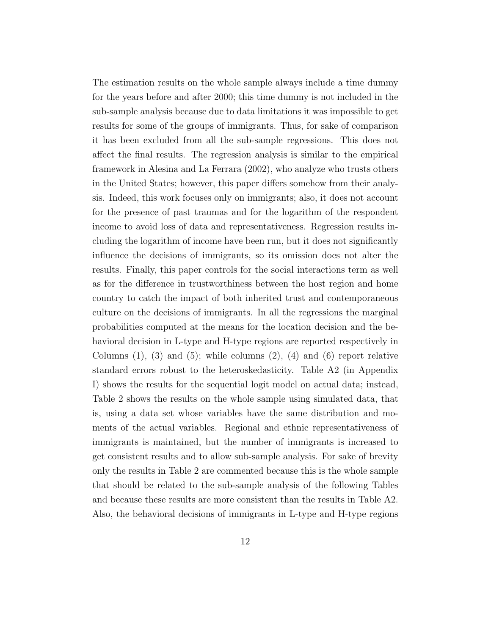The estimation results on the whole sample always include a time dummy for the years before and after 2000; this time dummy is not included in the sub-sample analysis because due to data limitations it was impossible to get results for some of the groups of immigrants. Thus, for sake of comparison it has been excluded from all the sub-sample regressions. This does not affect the final results. The regression analysis is similar to the empirical framework in Alesina and La Ferrara (2002), who analyze who trusts others in the United States; however, this paper differs somehow from their analysis. Indeed, this work focuses only on immigrants; also, it does not account for the presence of past traumas and for the logarithm of the respondent income to avoid loss of data and representativeness. Regression results including the logarithm of income have been run, but it does not significantly influence the decisions of immigrants, so its omission does not alter the results. Finally, this paper controls for the social interactions term as well as for the difference in trustworthiness between the host region and home country to catch the impact of both inherited trust and contemporaneous culture on the decisions of immigrants. In all the regressions the marginal probabilities computed at the means for the location decision and the behavioral decision in L-type and H-type regions are reported respectively in Columns  $(1)$ ,  $(3)$  and  $(5)$ ; while columns  $(2)$ ,  $(4)$  and  $(6)$  report relative standard errors robust to the heteroskedasticity. Table A2 (in Appendix I) shows the results for the sequential logit model on actual data; instead, Table 2 shows the results on the whole sample using simulated data, that is, using a data set whose variables have the same distribution and moments of the actual variables. Regional and ethnic representativeness of immigrants is maintained, but the number of immigrants is increased to get consistent results and to allow sub-sample analysis. For sake of brevity only the results in Table 2 are commented because this is the whole sample that should be related to the sub-sample analysis of the following Tables and because these results are more consistent than the results in Table A2. Also, the behavioral decisions of immigrants in L-type and H-type regions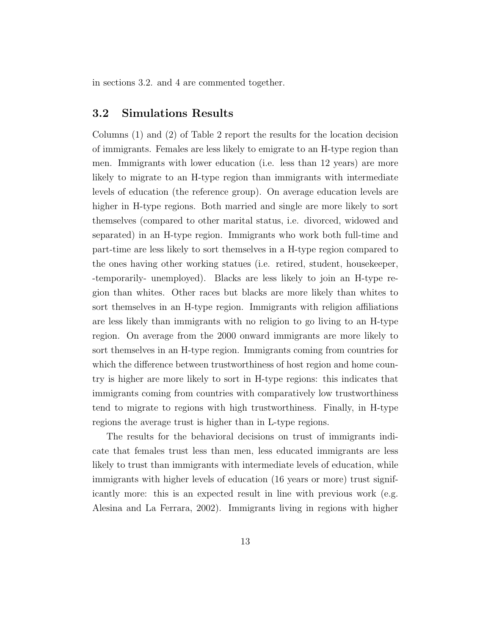in sections 3.2. and 4 are commented together.

#### 3.2 Simulations Results

Columns (1) and (2) of Table 2 report the results for the location decision of immigrants. Females are less likely to emigrate to an H-type region than men. Immigrants with lower education (i.e. less than 12 years) are more likely to migrate to an H-type region than immigrants with intermediate levels of education (the reference group). On average education levels are higher in H-type regions. Both married and single are more likely to sort themselves (compared to other marital status, i.e. divorced, widowed and separated) in an H-type region. Immigrants who work both full-time and part-time are less likely to sort themselves in a H-type region compared to the ones having other working statues (i.e. retired, student, housekeeper, -temporarily- unemployed). Blacks are less likely to join an H-type region than whites. Other races but blacks are more likely than whites to sort themselves in an H-type region. Immigrants with religion affiliations are less likely than immigrants with no religion to go living to an H-type region. On average from the 2000 onward immigrants are more likely to sort themselves in an H-type region. Immigrants coming from countries for which the difference between trustworthiness of host region and home country is higher are more likely to sort in H-type regions: this indicates that immigrants coming from countries with comparatively low trustworthiness tend to migrate to regions with high trustworthiness. Finally, in H-type regions the average trust is higher than in L-type regions.

The results for the behavioral decisions on trust of immigrants indicate that females trust less than men, less educated immigrants are less likely to trust than immigrants with intermediate levels of education, while immigrants with higher levels of education (16 years or more) trust significantly more: this is an expected result in line with previous work (e.g. Alesina and La Ferrara, 2002). Immigrants living in regions with higher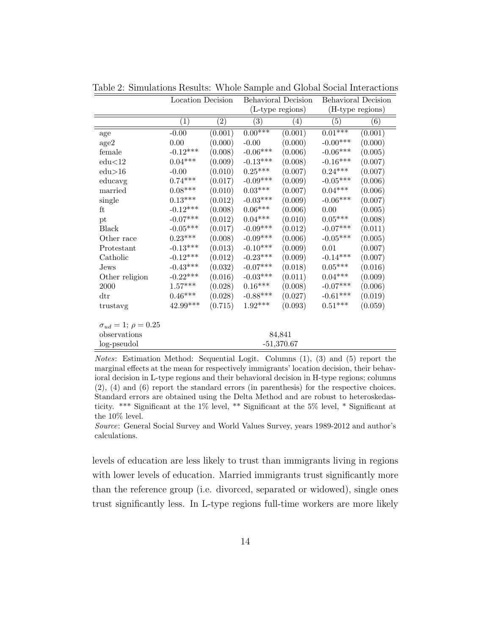|                                  | Location Decision     |                   | <b>Behavioral Decision</b> |                  | Behavioral Decision |                  |  |
|----------------------------------|-----------------------|-------------------|----------------------------|------------------|---------------------|------------------|--|
|                                  |                       |                   |                            | (L-type regions) |                     | (H-type regions) |  |
|                                  | $\left( 1\right)$     | $\left( 2\right)$ | $\left( 3\right)$          | $\left(4\right)$ | (5)                 | (6)              |  |
| age                              | $-0.00$               | (0.001)           | $0.00***$                  | (0.001)          | $0.01***$           | (0.001)          |  |
| age2                             | 0.00                  | (0.000)           | $-0.00$                    | (0.000)          | $-0.00***$          | (0.000)          |  |
| female                           | $-0.12***$            | (0.008)           | $-0.06***$                 | (0.006)          | $-0.06***$          | (0.005)          |  |
| edu<12                           | $0.04***$             | (0.009)           | $-0.13***$                 | (0.008)          | $-0.16***$          | (0.007)          |  |
| edu>16                           | $-0.00$               | (0.010)           | $0.25^{\ast\ast\ast}$      | (0.007)          | $0.24***$           | (0.007)          |  |
| educavg                          | $0.74***$             | (0.017)           | $-0.09***$                 | (0.009)          | $-0.05***$          | (0.006)          |  |
| married                          | $0.08^{***}\,$        | (0.010)           | $0.03^{***}\,$             | (0.007)          | $0.04***$           | (0.006)          |  |
| single                           | $0.13^{***}\,$        | (0.012)           | $-0.03***$                 | (0.009)          | $-0.06***$          | (0.007)          |  |
| ft                               | $-0.12***$            | (0.008)           | $0.06***$                  | (0.006)          | $0.00\,$            | (0.005)          |  |
| pt                               | $-0.07***$            | (0.012)           | $0.04^{\ast\ast\ast}$      | (0.010)          | $0.05^{***}\;$      | (0.008)          |  |
| Black                            | $-0.05***$            | (0.017)           | $-0.09***$                 | (0.012)          | $-0.07***$          | (0.011)          |  |
| Other race                       | $0.23***$             | (0.008)           | $-0.09***$                 | (0.006)          | $-0.05***$          | (0.005)          |  |
| Protestant                       | $-0.13***$            | (0.013)           | $-0.10***$                 | (0.009)          | 0.01                | (0.007)          |  |
| Catholic                         | $-0.12***$            | (0.012)           | $-0.23***$                 | (0.009)          | $-0.14***$          | (0.007)          |  |
| Jews                             | $\text{-}0.43^{***}$  | (0.032)           | $-0.07***$                 | (0.018)          | $0.05***$           | (0.016)          |  |
| Other religion                   | $-0.22***$            | (0.016)           | $-0.03***$                 | (0.011)          | $0.04^{***}\,$      | (0.009)          |  |
| 2000                             | $1.57^{\ast\ast\ast}$ | (0.028)           | $0.16^{\ast\ast\ast}$      | (0.008)          | $-0.07***$          | (0.006)          |  |
| $\mathrm{d}\mathrm{tr}$          | $0.46***$             | (0.028)           | $-0.88***$                 | (0.027)          | $-0.61***$          | (0.019)          |  |
| trustavg                         | $42.99***$            | (0.715)           | $1.92***$                  | (0.093)          | $0.51^{***}\;$      | (0.059)          |  |
| $\sigma_{ud} = 1; \ \rho = 0.25$ |                       |                   |                            |                  |                     |                  |  |
| observations                     |                       |                   |                            | 84,841           |                     |                  |  |
| log-pseudol                      |                       |                   |                            | $-51,370.67$     |                     |                  |  |

Table 2: Simulations Results: Whole Sample and Global Social Interactions

Notes: Estimation Method: Sequential Logit. Columns (1), (3) and (5) report the marginal effects at the mean for respectively immigrants' location decision, their behavioral decision in L-type regions and their behavioral decision in H-type regions; columns (2), (4) and (6) report the standard errors (in parenthesis) for the respective choices. Standard errors are obtained using the Delta Method and are robust to heteroskedasticity. \*\*\* Significant at the 1% level, \*\* Significant at the 5% level, \* Significant at the 10% level.

Source: General Social Survey and World Values Survey, years 1989-2012 and author's calculations.

levels of education are less likely to trust than immigrants living in regions with lower levels of education. Married immigrants trust significantly more than the reference group (i.e. divorced, separated or widowed), single ones trust significantly less. In L-type regions full-time workers are more likely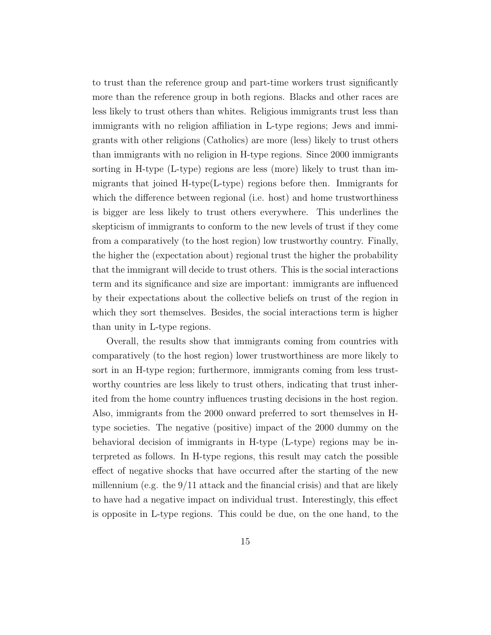to trust than the reference group and part-time workers trust significantly more than the reference group in both regions. Blacks and other races are less likely to trust others than whites. Religious immigrants trust less than immigrants with no religion affiliation in L-type regions; Jews and immigrants with other religions (Catholics) are more (less) likely to trust others than immigrants with no religion in H-type regions. Since 2000 immigrants sorting in H-type (L-type) regions are less (more) likely to trust than immigrants that joined H-type(L-type) regions before then. Immigrants for which the difference between regional (i.e. host) and home trustworthiness is bigger are less likely to trust others everywhere. This underlines the skepticism of immigrants to conform to the new levels of trust if they come from a comparatively (to the host region) low trustworthy country. Finally, the higher the (expectation about) regional trust the higher the probability that the immigrant will decide to trust others. This is the social interactions term and its significance and size are important: immigrants are influenced by their expectations about the collective beliefs on trust of the region in which they sort themselves. Besides, the social interactions term is higher than unity in L-type regions.

Overall, the results show that immigrants coming from countries with comparatively (to the host region) lower trustworthiness are more likely to sort in an H-type region; furthermore, immigrants coming from less trustworthy countries are less likely to trust others, indicating that trust inherited from the home country influences trusting decisions in the host region. Also, immigrants from the 2000 onward preferred to sort themselves in Htype societies. The negative (positive) impact of the 2000 dummy on the behavioral decision of immigrants in H-type (L-type) regions may be interpreted as follows. In H-type regions, this result may catch the possible effect of negative shocks that have occurred after the starting of the new millennium (e.g. the 9/11 attack and the financial crisis) and that are likely to have had a negative impact on individual trust. Interestingly, this effect is opposite in L-type regions. This could be due, on the one hand, to the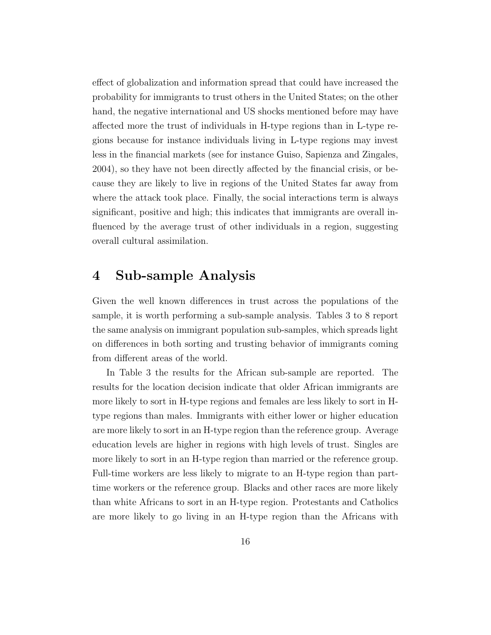effect of globalization and information spread that could have increased the probability for immigrants to trust others in the United States; on the other hand, the negative international and US shocks mentioned before may have affected more the trust of individuals in H-type regions than in L-type regions because for instance individuals living in L-type regions may invest less in the financial markets (see for instance Guiso, Sapienza and Zingales, 2004), so they have not been directly affected by the financial crisis, or because they are likely to live in regions of the United States far away from where the attack took place. Finally, the social interactions term is always significant, positive and high; this indicates that immigrants are overall influenced by the average trust of other individuals in a region, suggesting overall cultural assimilation.

## 4 Sub-sample Analysis

Given the well known differences in trust across the populations of the sample, it is worth performing a sub-sample analysis. Tables 3 to 8 report the same analysis on immigrant population sub-samples, which spreads light on differences in both sorting and trusting behavior of immigrants coming from different areas of the world.

In Table 3 the results for the African sub-sample are reported. The results for the location decision indicate that older African immigrants are more likely to sort in H-type regions and females are less likely to sort in Htype regions than males. Immigrants with either lower or higher education are more likely to sort in an H-type region than the reference group. Average education levels are higher in regions with high levels of trust. Singles are more likely to sort in an H-type region than married or the reference group. Full-time workers are less likely to migrate to an H-type region than parttime workers or the reference group. Blacks and other races are more likely than white Africans to sort in an H-type region. Protestants and Catholics are more likely to go living in an H-type region than the Africans with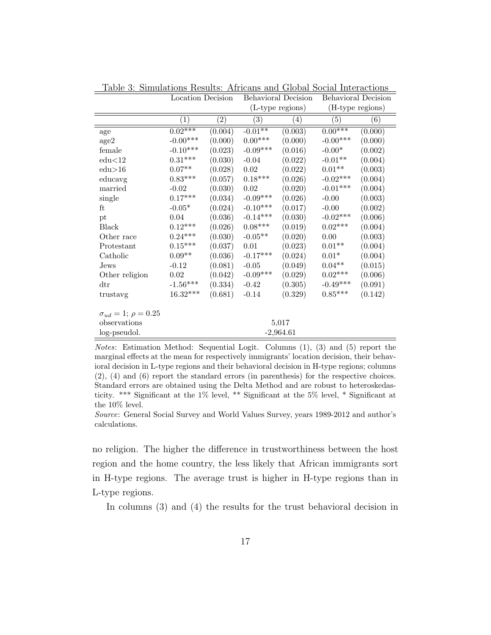|                                  | Location Decision     |                   | Behavioral Decision |                   | Behavioral Decision |                   |
|----------------------------------|-----------------------|-------------------|---------------------|-------------------|---------------------|-------------------|
|                                  |                       |                   | (L-type regions)    |                   | (H-type regions)    |                   |
|                                  | $\left( 1\right)$     | $\left( 2\right)$ | $\left( 3\right)$   | $\left( 4\right)$ | $\left( 5\right)$   | $\left( 6\right)$ |
| age                              | $0.02***$             | (0.004)           | $-0.01**$           | (0.003)           | $0.00***$           | (0.000)           |
| age2                             | $-0.00***$            | (0.000)           | $0.00***$           | (0.000)           | $-0.00***$          | (0.000)           |
| female                           | $-0.10***$            | (0.023)           | $-0.09***$          | (0.016)           | $-0.00*$            | (0.002)           |
| edu<12                           | $0.31^{\ast\ast\ast}$ | (0.030)           | $-0.04$             | (0.022)           | $-0.01**$           | (0.004)           |
| edu>16                           | $0.07**$              | (0.028)           | $\rm 0.02$          | (0.022)           | $0.01^{\ast\ast}$   | (0.003)           |
| educavg                          | $0.83***$             | (0.057)           | $0.18***$           | (0.026)           | $-0.02***$          | (0.004)           |
| married                          | $-0.02$               | (0.030)           | 0.02                | (0.020)           | $-0.01***$          | (0.004)           |
| single                           | $0.17***$             | (0.034)           | $-0.09***$          | (0.026)           | $-0.00$             | (0.003)           |
| ft                               | $-0.05*$              | (0.024)           | $-0.10***$          | (0.017)           | $-0.00$             | (0.002)           |
| pt                               | $0.04\,$              | (0.036)           | $-0.14***$          | (0.030)           | $-0.02***$          | (0.006)           |
| <b>Black</b>                     | $0.12^{***}\,$        | (0.026)           | $0.08^{***}\;$      | (0.019)           | $0.02***$           | (0.004)           |
| Other race                       | $0.24***$             | (0.030)           | $-0.05**$           | (0.020)           | $0.00\,$            | (0.003)           |
| Protestant                       | $0.15***$             | (0.037)           | 0.01                | (0.023)           | $0.01**$            | (0.004)           |
| Catholic                         | $0.09**$              | (0.036)           | $-0.17***$          | (0.024)           | $0.01*$             | (0.004)           |
| Jews                             | $-0.12$               | (0.081)           | $-0.05$             | (0.049)           | $0.04**$            | (0.015)           |
| Other religion                   | 0.02                  | (0.042)           | $-0.09***$          | (0.029)           | $0.02^{***}\,$      | (0.006)           |
| $\mathrm{d}\mathrm{tr}$          | $-1.56***$            | (0.334)           | $-0.42$             | (0.305)           | $-0.49***$          | (0.091)           |
| trustavg                         | 16.32***              | (0.681)           | $-0.14$             | (0.329)           | $0.85^{***}\,$      | (0.142)           |
| $\sigma_{ud} = 1; \ \rho = 0.25$ |                       |                   |                     |                   |                     |                   |
| observations                     |                       |                   |                     | 5,017             |                     |                   |
| log-pseudol.                     |                       |                   |                     | $-2,964.61$       |                     |                   |

Table 3: Simulations Results: Africans and Global Social Interactions

Notes: Estimation Method: Sequential Logit. Columns (1), (3) and (5) report the marginal effects at the mean for respectively immigrants' location decision, their behavioral decision in L-type regions and their behavioral decision in H-type regions; columns (2), (4) and (6) report the standard errors (in parenthesis) for the respective choices. Standard errors are obtained using the Delta Method and are robust to heteroskedasticity. \*\*\* Significant at the 1% level, \*\* Significant at the 5% level, \* Significant at the 10% level.

Source: General Social Survey and World Values Survey, years 1989-2012 and author's calculations.

no religion. The higher the difference in trustworthiness between the host region and the home country, the less likely that African immigrants sort in H-type regions. The average trust is higher in H-type regions than in L-type regions.

In columns (3) and (4) the results for the trust behavioral decision in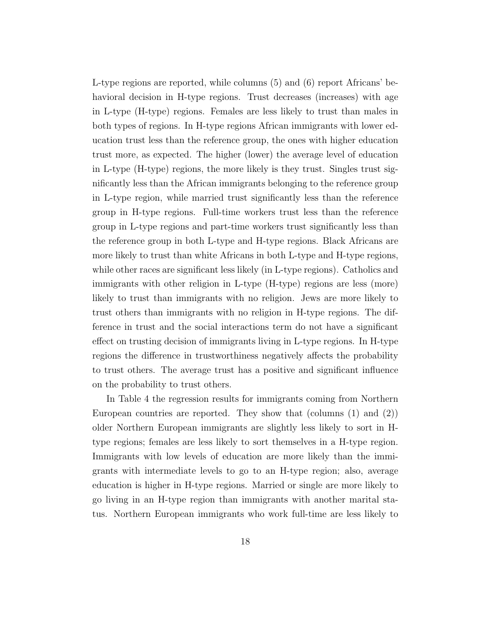L-type regions are reported, while columns (5) and (6) report Africans' behavioral decision in H-type regions. Trust decreases (increases) with age in L-type (H-type) regions. Females are less likely to trust than males in both types of regions. In H-type regions African immigrants with lower education trust less than the reference group, the ones with higher education trust more, as expected. The higher (lower) the average level of education in L-type (H-type) regions, the more likely is they trust. Singles trust significantly less than the African immigrants belonging to the reference group in L-type region, while married trust significantly less than the reference group in H-type regions. Full-time workers trust less than the reference group in L-type regions and part-time workers trust significantly less than the reference group in both L-type and H-type regions. Black Africans are more likely to trust than white Africans in both L-type and H-type regions, while other races are significant less likely (in L-type regions). Catholics and immigrants with other religion in L-type (H-type) regions are less (more) likely to trust than immigrants with no religion. Jews are more likely to trust others than immigrants with no religion in H-type regions. The difference in trust and the social interactions term do not have a significant effect on trusting decision of immigrants living in L-type regions. In H-type regions the difference in trustworthiness negatively affects the probability to trust others. The average trust has a positive and significant influence on the probability to trust others.

In Table 4 the regression results for immigrants coming from Northern European countries are reported. They show that (columns (1) and (2)) older Northern European immigrants are slightly less likely to sort in Htype regions; females are less likely to sort themselves in a H-type region. Immigrants with low levels of education are more likely than the immigrants with intermediate levels to go to an H-type region; also, average education is higher in H-type regions. Married or single are more likely to go living in an H-type region than immigrants with another marital status. Northern European immigrants who work full-time are less likely to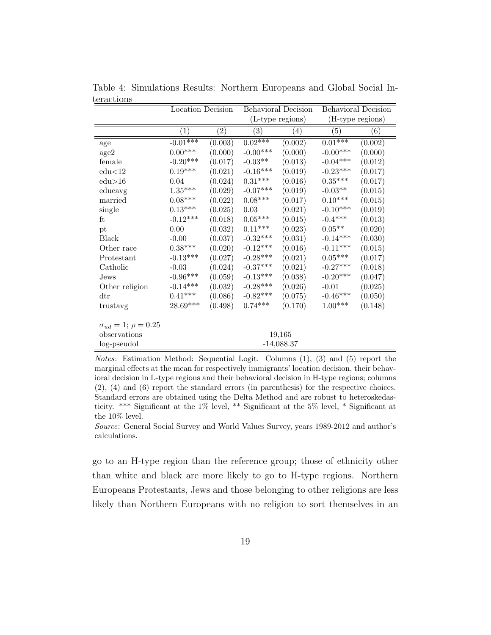|                                  | Location Decision |                   | Behavioral Decision   |                   | Behavioral Decision   |                  |
|----------------------------------|-------------------|-------------------|-----------------------|-------------------|-----------------------|------------------|
|                                  |                   |                   | (L-type regions)      |                   | (H-type regions)      |                  |
|                                  | $\left( 1\right)$ | $\left( 2\right)$ | $\left( 3\right)$     | $\left( 4\right)$ | (5)                   | $\left(6\right)$ |
| age                              | $-0.01***$        | (0.003)           | $0.02***$             | (0.002)           | $0.01***$             | (0.002)          |
| age2                             | $0.00***$         | (0.000)           | $-0.00***$            | (0.000)           | $-0.00***$            | (0.000)          |
| female                           | $-0.20***$        | (0.017)           | $-0.03**$             | (0.013)           | $-0.04***$            | (0.012)          |
| edu<12                           | $0.19***$         | (0.021)           | $-0.16***$            | (0.019)           | $-0.23***$            | (0.017)          |
| $_{\rm edu>16}$                  | 0.04              | (0.024)           | $0.31^{\ast\ast\ast}$ | (0.016)           | $0.35^{\ast\ast\ast}$ | (0.017)          |
| educavg                          | $1.35^{***}\,$    | (0.029)           | $-0.07***$            | (0.019)           | $-0.03**$             | (0.015)          |
| married                          | $0.08^{***}\,$    | (0.022)           | $0.08^{***}\;$        | (0.017)           | $0.10^{***}\,$        | (0.015)          |
| single                           | $0.13***$         | (0.025)           | $0.03\,$              | (0.021)           | $-0.10***$            | (0.019)          |
| ft                               | $-0.12***$        | (0.018)           | $0.05^{***}\,$        | (0.015)           | $-0.4***$             | (0.013)          |
| pt                               | $0.00\,$          | (0.032)           | $0.11***$             | (0.023)           | $0.05***$             | (0.020)          |
| Black                            | $-0.00$           | (0.037)           | $-0.32***$            | (0.031)           | $-0.14***$            | (0.030)          |
| Other race                       | $0.38***$         | (0.020)           | $-0.12***$            | (0.016)           | $-0.11***$            | (0.015)          |
| Protestant                       | $-0.13***$        | (0.027)           | $-0.28***$            | (0.021)           | $0.05^{\ast\ast\ast}$ | (0.017)          |
| Catholic                         | $-0.03$           | (0.024)           | $-0.37***$            | (0.021)           | $-0.27***$            | (0.018)          |
| Jews                             | $-0.96***$        | (0.059)           | $-0.13***$            | (0.038)           | $-0.20***$            | (0.047)          |
| Other religion                   | $-0.14***$        | (0.032)           | $-0.28***$            | (0.026)           | $-0.01$               | (0.025)          |
| $\mathrm{d}\mathrm{tr}$          | $0.41***$         | (0.086)           | $-0.82***$            | (0.075)           | $-0.46***$            | (0.050)          |
| trustavg                         | $28.69***$        | (0.498)           | $0.74***$             | (0.170)           | $1.00^{***}\;$        | (0.148)          |
| $\sigma_{ud} = 1; \ \rho = 0.25$ |                   |                   |                       |                   |                       |                  |
| observations                     |                   |                   |                       | 19,165            |                       |                  |
| log-pseudol                      |                   |                   |                       | $-14,088.37$      |                       |                  |

Table 4: Simulations Results: Northern Europeans and Global Social Interactions

Notes: Estimation Method: Sequential Logit. Columns (1), (3) and (5) report the marginal effects at the mean for respectively immigrants' location decision, their behavioral decision in L-type regions and their behavioral decision in H-type regions; columns (2), (4) and (6) report the standard errors (in parenthesis) for the respective choices. Standard errors are obtained using the Delta Method and are robust to heteroskedasticity. \*\*\* Significant at the 1% level, \*\* Significant at the 5% level, \* Significant at the 10% level.

Source: General Social Survey and World Values Survey, years 1989-2012 and author's calculations.

go to an H-type region than the reference group; those of ethnicity other than white and black are more likely to go to H-type regions. Northern Europeans Protestants, Jews and those belonging to other religions are less likely than Northern Europeans with no religion to sort themselves in an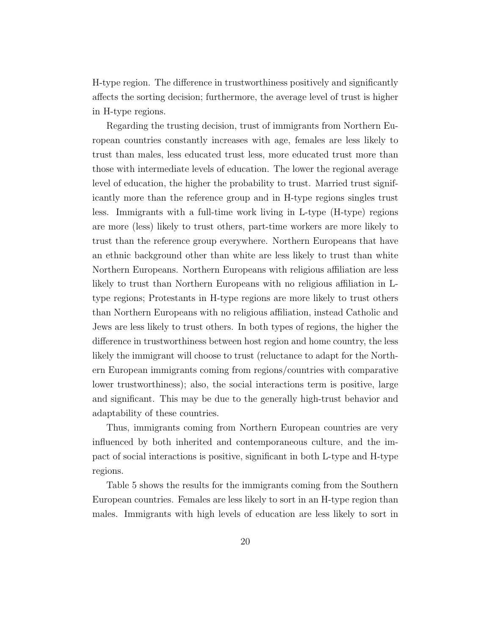H-type region. The difference in trustworthiness positively and significantly affects the sorting decision; furthermore, the average level of trust is higher in H-type regions.

Regarding the trusting decision, trust of immigrants from Northern European countries constantly increases with age, females are less likely to trust than males, less educated trust less, more educated trust more than those with intermediate levels of education. The lower the regional average level of education, the higher the probability to trust. Married trust significantly more than the reference group and in H-type regions singles trust less. Immigrants with a full-time work living in L-type (H-type) regions are more (less) likely to trust others, part-time workers are more likely to trust than the reference group everywhere. Northern Europeans that have an ethnic background other than white are less likely to trust than white Northern Europeans. Northern Europeans with religious affiliation are less likely to trust than Northern Europeans with no religious affiliation in Ltype regions; Protestants in H-type regions are more likely to trust others than Northern Europeans with no religious affiliation, instead Catholic and Jews are less likely to trust others. In both types of regions, the higher the difference in trustworthiness between host region and home country, the less likely the immigrant will choose to trust (reluctance to adapt for the Northern European immigrants coming from regions/countries with comparative lower trustworthiness); also, the social interactions term is positive, large and significant. This may be due to the generally high-trust behavior and adaptability of these countries.

Thus, immigrants coming from Northern European countries are very influenced by both inherited and contemporaneous culture, and the impact of social interactions is positive, significant in both L-type and H-type regions.

Table 5 shows the results for the immigrants coming from the Southern European countries. Females are less likely to sort in an H-type region than males. Immigrants with high levels of education are less likely to sort in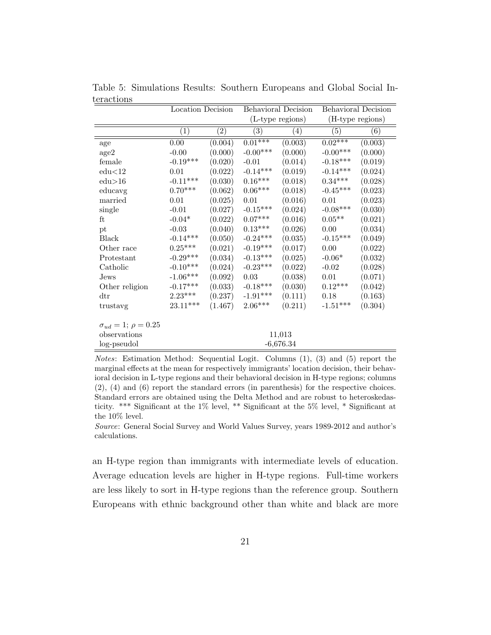|                                | Location Decision     |                   | Behavioral Decision |                   | Behavioral Decision |         |
|--------------------------------|-----------------------|-------------------|---------------------|-------------------|---------------------|---------|
|                                |                       |                   | (L-type regions)    |                   | (H-type regions)    |         |
|                                | $\left( 1\right)$     | $\left( 2\right)$ | (3)                 | $\left( 4\right)$ | (5)                 | (6)     |
| age                            | $0.00\,$              | (0.004)           | $0.01***$           | (0.003)           | $0.02***$           | (0.003) |
| age2                           | $-0.00$               | (0.000)           | $-0.00***$          | (0.000)           | $-0.00***$          | (0.000) |
| female                         | $-0.19***$            | (0.020)           | $-0.01$             | (0.014)           | $-0.18***$          | (0.019) |
| edu<12                         | 0.01                  | (0.022)           | $-0.14***$          | (0.019)           | $-0.14***$          | (0.024) |
| $_{\rm edu>16}$                | $-0.11***$            | (0.030)           | $0.16***$           | (0.018)           | $0.34^{***}\;$      | (0.028) |
| educavg                        | $0.70***$             | (0.062)           | $0.06***$           | (0.018)           | $-0.45***$          | (0.023) |
| married                        | 0.01                  | (0.025)           | $0.01\,$            | (0.016)           | 0.01                | (0.023) |
| single                         | $-0.01$               | (0.027)           | $-0.15***$          | (0.024)           | $-0.08***$          | (0.030) |
| ft                             | $-0.04*$              | (0.022)           | $0.07***$           | (0.016)           | $0.05**$            | (0.021) |
| pt                             | $-0.03$               | (0.040)           | $0.13***$           | (0.026)           | $0.00\,$            | (0.034) |
| Black                          | $-0.14***$            | (0.050)           | $-0.24***$          | (0.035)           | $-0.15***$          | (0.049) |
| Other race                     | $0.25^{\ast\ast\ast}$ | (0.021)           | $-0.19***$          | (0.017)           | 0.00                | (0.022) |
| Protestant                     | $-0.29***$            | (0.034)           | $-0.13***$          | (0.025)           | $-0.06*$            | (0.032) |
| Catholic                       | $-0.10***$            | (0.024)           | $-0.23***$          | (0.022)           | $-0.02$             | (0.028) |
| Jews                           | $\text{-}1.06***$     | (0.092)           | 0.03                | (0.038)           | 0.01                | (0.071) |
| Other religion                 | $-0.17***$            | (0.033)           | $-0.18***$          | (0.030)           | $0.12***$           | (0.042) |
| $\mathrm{d}\mathrm{tr}$        | $2.23***$             | (0.237)           | $-1.91***$          | (0.111)           | 0.18                | (0.163) |
| trustavg                       | $23.11***$            | (1.467)           | $2.06***$           | (0.211)           | $-1.51***$          | (0.304) |
| $\sigma_{ud} = 1; \rho = 0.25$ |                       |                   |                     |                   |                     |         |
| observations                   |                       |                   |                     | 11,013            |                     |         |
| log-pseudol                    |                       |                   |                     | $-6,676.34$       |                     |         |

Table 5: Simulations Results: Southern Europeans and Global Social Interactions

Notes: Estimation Method: Sequential Logit. Columns (1), (3) and (5) report the marginal effects at the mean for respectively immigrants' location decision, their behavioral decision in L-type regions and their behavioral decision in H-type regions; columns (2), (4) and (6) report the standard errors (in parenthesis) for the respective choices. Standard errors are obtained using the Delta Method and are robust to heteroskedasticity. \*\*\* Significant at the 1% level, \*\* Significant at the 5% level, \* Significant at the 10% level.

Source: General Social Survey and World Values Survey, years 1989-2012 and author's calculations.

an H-type region than immigrants with intermediate levels of education. Average education levels are higher in H-type regions. Full-time workers are less likely to sort in H-type regions than the reference group. Southern Europeans with ethnic background other than white and black are more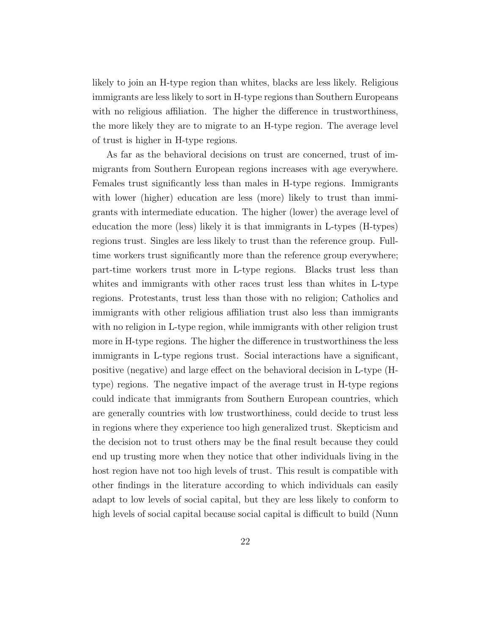likely to join an H-type region than whites, blacks are less likely. Religious immigrants are less likely to sort in H-type regions than Southern Europeans with no religious affiliation. The higher the difference in trustworthiness, the more likely they are to migrate to an H-type region. The average level of trust is higher in H-type regions.

As far as the behavioral decisions on trust are concerned, trust of immigrants from Southern European regions increases with age everywhere. Females trust significantly less than males in H-type regions. Immigrants with lower (higher) education are less (more) likely to trust than immigrants with intermediate education. The higher (lower) the average level of education the more (less) likely it is that immigrants in L-types (H-types) regions trust. Singles are less likely to trust than the reference group. Fulltime workers trust significantly more than the reference group everywhere; part-time workers trust more in L-type regions. Blacks trust less than whites and immigrants with other races trust less than whites in L-type regions. Protestants, trust less than those with no religion; Catholics and immigrants with other religious affiliation trust also less than immigrants with no religion in L-type region, while immigrants with other religion trust more in H-type regions. The higher the difference in trustworthiness the less immigrants in L-type regions trust. Social interactions have a significant, positive (negative) and large effect on the behavioral decision in L-type (Htype) regions. The negative impact of the average trust in H-type regions could indicate that immigrants from Southern European countries, which are generally countries with low trustworthiness, could decide to trust less in regions where they experience too high generalized trust. Skepticism and the decision not to trust others may be the final result because they could end up trusting more when they notice that other individuals living in the host region have not too high levels of trust. This result is compatible with other findings in the literature according to which individuals can easily adapt to low levels of social capital, but they are less likely to conform to high levels of social capital because social capital is difficult to build (Nunn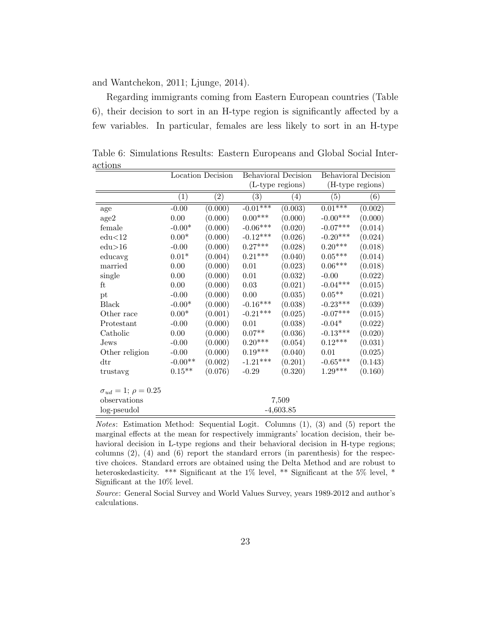and Wantchekon, 2011; Ljunge, 2014).

Regarding immigrants coming from Eastern European countries (Table 6), their decision to sort in an H-type region is significantly affected by a few variables. In particular, females are less likely to sort in an H-type

|                                   |                   | Location Decision | <b>Behavioral Decision</b> |                   | <b>Behavioral Decision</b> |                  |  |
|-----------------------------------|-------------------|-------------------|----------------------------|-------------------|----------------------------|------------------|--|
|                                   |                   |                   |                            | (L-type regions)  |                            | (H-type regions) |  |
|                                   | $\left( 1\right)$ | $\left( 2\right)$ | (3)                        | $\left( 4\right)$ | (5)                        | $\left(6\right)$ |  |
| age                               | $-0.00$           | (0.000)           | $-0.01***$                 | (0.003)           | $0.01***$                  | (0.002)          |  |
| age2                              | $0.00\,$          | (0.000)           | $0.00***$                  | (0.000)           | $-0.00***$                 | (0.000)          |  |
| female                            | $-0.00*$          | (0.000)           | $-0.06***$                 | (0.020)           | $-0.07***$                 | (0.014)          |  |
| edu<12                            | $0.00*$           | (0.000)           | $-0.12***$                 | (0.026)           | $-0.20***$                 | (0.024)          |  |
| edu>16                            | $-0.00$           | (0.000)           | $0.27***$                  | (0.028)           | $0.20***$                  | (0.018)          |  |
| educavg                           | $0.01*$           | (0.004)           | $0.21***$                  | (0.040)           | $0.05^{\ast\ast\ast}$      | (0.014)          |  |
| married                           | 0.00              | (0.000)           | 0.01                       | (0.023)           | $0.06^{\ast\ast\ast}$      | (0.018)          |  |
| single                            | 0.00              | (0.000)           | $0.01\,$                   | (0.032)           | $-0.00$                    | (0.022)          |  |
| ft                                | 0.00              | (0.000)           | 0.03                       | (0.021)           | $-0.04***$                 | (0.015)          |  |
| pt                                | $-0.00$           | (0.000)           | 0.00                       | (0.035)           | $0.05**$                   | (0.021)          |  |
| <b>Black</b>                      | $-0.00*$          | (0.000)           | $-0.16***$                 | (0.038)           | $-0.23***$                 | (0.039)          |  |
| Other race                        | $0.00*$           | (0.001)           | $-0.21***$                 | (0.025)           | $-0.07***$                 | (0.015)          |  |
| Protestant                        | $-0.00$           | (0.000)           | $0.01\,$                   | (0.038)           | $-0.04*$                   | (0.022)          |  |
| Catholic                          | 0.00              | (0.000)           | $0.07**$                   | (0.036)           | $-0.13***$                 | (0.020)          |  |
| Jews                              | $-0.00$           | (0.000)           | $0.20***$                  | (0.054)           | $0.12***$                  | (0.031)          |  |
| Other religion                    | $-0.00$           | (0.000)           | $0.19***$                  | (0.040)           | $0.01\,$                   | (0.025)          |  |
| $\mathrm{d}\mathrm{tr}$           | $-0.00**$         | (0.002)           | $-1.21***$                 | (0.201)           | $-0.65***$                 | (0.143)          |  |
| trustavg                          | $0.15^{\ast\ast}$ | (0.076)           | $-0.29$                    | (0.320)           | $1.29***$                  | (0.160)          |  |
| $\sigma_{ud} = 1$ ; $\rho = 0.25$ |                   |                   |                            |                   |                            |                  |  |
| observations                      |                   |                   |                            | 7,509             |                            |                  |  |
| log-pseudol                       |                   |                   |                            | $-4,603.85$       |                            |                  |  |

Table 6: Simulations Results: Eastern Europeans and Global Social Interactions  $=$ 

Notes: Estimation Method: Sequential Logit. Columns (1), (3) and (5) report the marginal effects at the mean for respectively immigrants' location decision, their behavioral decision in L-type regions and their behavioral decision in H-type regions; columns (2), (4) and (6) report the standard errors (in parenthesis) for the respective choices. Standard errors are obtained using the Delta Method and are robust to heteroskedasticity. \*\*\* Significant at the 1% level, \*\* Significant at the 5% level, \* Significant at the 10% level.

Source: General Social Survey and World Values Survey, years 1989-2012 and author's calculations.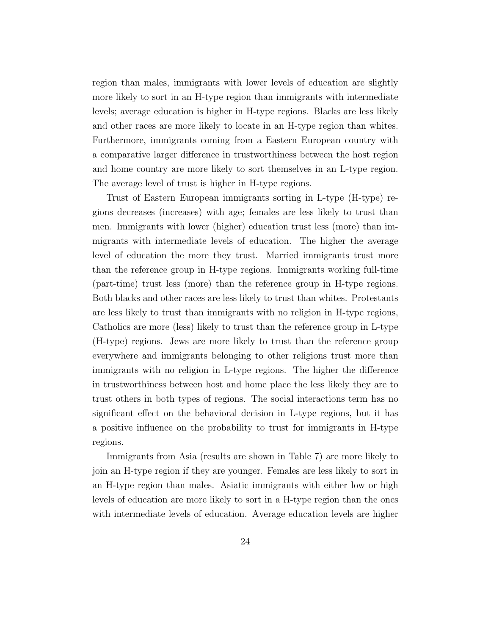region than males, immigrants with lower levels of education are slightly more likely to sort in an H-type region than immigrants with intermediate levels; average education is higher in H-type regions. Blacks are less likely and other races are more likely to locate in an H-type region than whites. Furthermore, immigrants coming from a Eastern European country with a comparative larger difference in trustworthiness between the host region and home country are more likely to sort themselves in an L-type region. The average level of trust is higher in H-type regions.

Trust of Eastern European immigrants sorting in L-type (H-type) regions decreases (increases) with age; females are less likely to trust than men. Immigrants with lower (higher) education trust less (more) than immigrants with intermediate levels of education. The higher the average level of education the more they trust. Married immigrants trust more than the reference group in H-type regions. Immigrants working full-time (part-time) trust less (more) than the reference group in H-type regions. Both blacks and other races are less likely to trust than whites. Protestants are less likely to trust than immigrants with no religion in H-type regions, Catholics are more (less) likely to trust than the reference group in L-type (H-type) regions. Jews are more likely to trust than the reference group everywhere and immigrants belonging to other religions trust more than immigrants with no religion in L-type regions. The higher the difference in trustworthiness between host and home place the less likely they are to trust others in both types of regions. The social interactions term has no significant effect on the behavioral decision in L-type regions, but it has a positive influence on the probability to trust for immigrants in H-type regions.

Immigrants from Asia (results are shown in Table 7) are more likely to join an H-type region if they are younger. Females are less likely to sort in an H-type region than males. Asiatic immigrants with either low or high levels of education are more likely to sort in a H-type region than the ones with intermediate levels of education. Average education levels are higher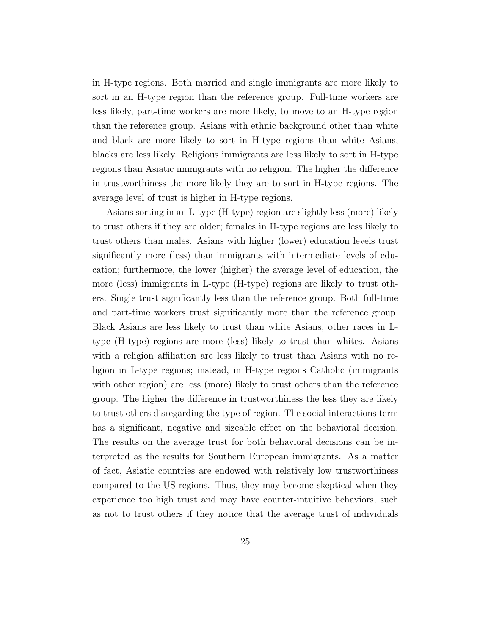in H-type regions. Both married and single immigrants are more likely to sort in an H-type region than the reference group. Full-time workers are less likely, part-time workers are more likely, to move to an H-type region than the reference group. Asians with ethnic background other than white and black are more likely to sort in H-type regions than white Asians, blacks are less likely. Religious immigrants are less likely to sort in H-type regions than Asiatic immigrants with no religion. The higher the difference in trustworthiness the more likely they are to sort in H-type regions. The average level of trust is higher in H-type regions.

Asians sorting in an L-type (H-type) region are slightly less (more) likely to trust others if they are older; females in H-type regions are less likely to trust others than males. Asians with higher (lower) education levels trust significantly more (less) than immigrants with intermediate levels of education; furthermore, the lower (higher) the average level of education, the more (less) immigrants in L-type (H-type) regions are likely to trust others. Single trust significantly less than the reference group. Both full-time and part-time workers trust significantly more than the reference group. Black Asians are less likely to trust than white Asians, other races in Ltype (H-type) regions are more (less) likely to trust than whites. Asians with a religion affiliation are less likely to trust than Asians with no religion in L-type regions; instead, in H-type regions Catholic (immigrants with other region) are less (more) likely to trust others than the reference group. The higher the difference in trustworthiness the less they are likely to trust others disregarding the type of region. The social interactions term has a significant, negative and sizeable effect on the behavioral decision. The results on the average trust for both behavioral decisions can be interpreted as the results for Southern European immigrants. As a matter of fact, Asiatic countries are endowed with relatively low trustworthiness compared to the US regions. Thus, they may become skeptical when they experience too high trust and may have counter-intuitive behaviors, such as not to trust others if they notice that the average trust of individuals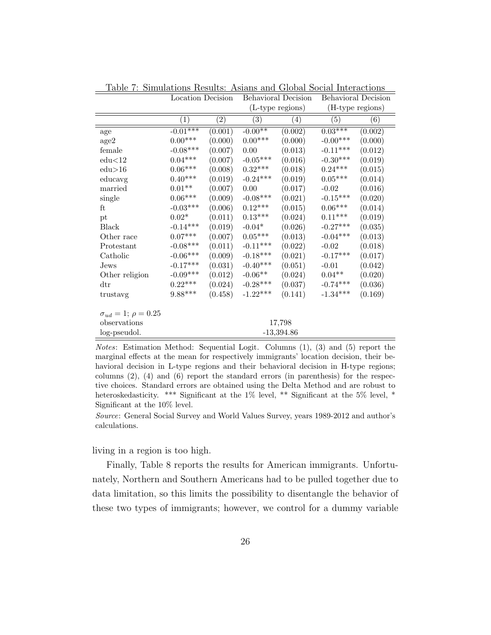|                                  | Location Decision       |                   | Behavioral Decision   |                   | Behavioral Decision |         |
|----------------------------------|-------------------------|-------------------|-----------------------|-------------------|---------------------|---------|
|                                  |                         |                   | (L-type regions)      |                   | (H-type regions)    |         |
|                                  | $\left( 1\right)$       | $\left( 2\right)$ | (3)                   | $\left( 4\right)$ | $\left( 5\right)$   | (6)     |
| age                              | $-0.01***$              | (0.001)           | $-0.00**$             | (0.002)           | $0.03***$           | (0.002) |
| age2                             | $0.00^{***}\;$          | (0.000)           | $0.00***$             | (0.000)           | $-0.00***$          | (0.000) |
| female                           | $-0.08***$              | (0.007)           | 0.00                  | (0.013)           | $-0.11***$          | (0.012) |
| edu<12                           | $0.04***$               | (0.007)           | $-0.05***$            | (0.016)           | $-0.30***$          | (0.019) |
| edu > 16                         | $0.06^{\ast\ast\ast}$   | (0.008)           | $0.32***$             | (0.018)           | $0.24***$           | (0.015) |
| educavg                          | $0.40***$               | (0.019)           | $-0.24***$            | (0.019)           | $0.05^{***}\,$      | (0.014) |
| married                          | $0.01**$                | (0.007)           | 0.00                  | (0.017)           | $-0.02$             | (0.016) |
| single                           | $0.06^{\ast\ast\ast}$   | (0.009)           | $-0.08***$            | (0.021)           | $-0.15***$          | (0.020) |
| ft                               | $-0.03***$              | (0.006)           | $0.12***$             | (0.015)           | $0.06***$           | (0.014) |
| pt                               | $0.02^\ast$             | (0.011)           | $0.13^{***}\,$        | (0.024)           | $0.11^{***}\,$      | (0.019) |
| Black                            | $-0.14***$              | (0.019)           | $-0.04*$              | (0.026)           | $-0.27***$          | (0.035) |
| Other race                       | $0.07***$               | (0.007)           | $0.05^{\ast\ast\ast}$ | (0.013)           | $-0.04***$          | (0.013) |
| Protestant                       | $-0.08***$              | (0.011)           | $-0.11***$            | (0.022)           | $-0.02$             | (0.018) |
| Catholic                         | $-0.06***$              | (0.009)           | $-0.18***$            | (0.021)           | $-0.17***$          | (0.017) |
| Jews                             | $-0.17***$              | (0.031)           | $-0.40***$            | (0.051)           | $-0.01$             | (0.042) |
| Other religion                   | $-0.09***$              | (0.012)           | $-0.06**$             | (0.024)           | $0.04**$            | (0.020) |
| $\mathrm{d}\mathrm{tr}$          | $0.22***$               | (0.024)           | $-0.28***$            | (0.037)           | $-0.74***$          | (0.036) |
| trustavg                         | $9.88^{\ast \ast \ast}$ | (0.458)           | $-1.22***$            | (0.141)           | $-1.34***$          | (0.169) |
| $\sigma_{ud} = 1; \ \rho = 0.25$ |                         |                   |                       |                   |                     |         |
| observations                     |                         |                   |                       | 17,798            |                     |         |
| log-pseudol.                     |                         |                   |                       | $-13,394.86$      |                     |         |

Table 7: Simulations Results: Asians and Global Social Interactions

Notes: Estimation Method: Sequential Logit. Columns (1), (3) and (5) report the marginal effects at the mean for respectively immigrants' location decision, their behavioral decision in L-type regions and their behavioral decision in H-type regions; columns (2), (4) and (6) report the standard errors (in parenthesis) for the respective choices. Standard errors are obtained using the Delta Method and are robust to heteroskedasticity. \*\*\* Significant at the 1% level, \*\* Significant at the 5% level, \* Significant at the 10% level.

Source: General Social Survey and World Values Survey, years 1989-2012 and author's calculations.

living in a region is too high.

Finally, Table 8 reports the results for American immigrants. Unfortunately, Northern and Southern Americans had to be pulled together due to data limitation, so this limits the possibility to disentangle the behavior of these two types of immigrants; however, we control for a dummy variable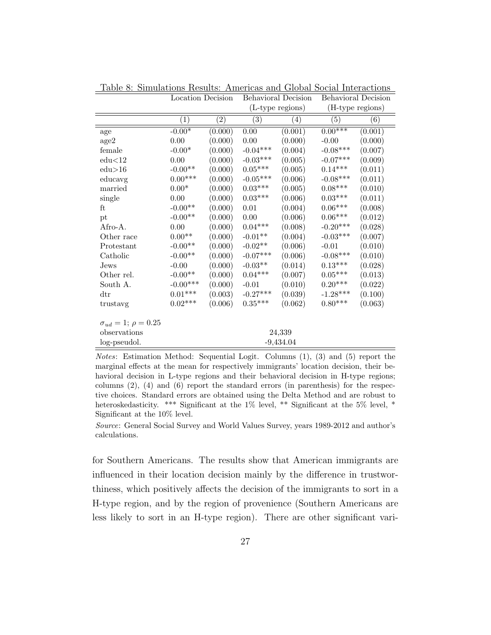|                                  | Location Decision |                   | <b>Behavioral Decision</b> |                  | <b>Behavioral Decision</b> |         |
|----------------------------------|-------------------|-------------------|----------------------------|------------------|----------------------------|---------|
|                                  |                   |                   | (L-type regions)           |                  | (H-type regions)           |         |
|                                  | $\left( 1\right)$ | $\left( 2\right)$ | $\left( 3\right)$          | $\left(4\right)$ | (5)                        | (6)     |
| age                              | $-0.00*$          | (0.000)           | $0.00\,$                   | (0.001)          | $0.00***$                  | (0.001) |
| age2                             | $0.00\,$          | (0.000)           | $0.00\,$                   | (0.000)          | $-0.00$                    | (0.000) |
| female                           | $-0.00*$          | (0.000)           | $-0.04***$                 | (0.004)          | $-0.08***$                 | (0.007) |
| edu<12                           | $0.00\,$          | (0.000)           | $-0.03***$                 | (0.005)          | $-0.07***$                 | (0.009) |
| edu > 16                         | $-0.00**$         | (0.000)           | $0.05^{***}\,$             | (0.005)          | $0.14***$                  | (0.011) |
| educavg                          | $0.00^{***}\;$    | (0.000)           | $-0.05***$                 | (0.006)          | $-0.08***$                 | (0.011) |
| married                          | $0.00*$           | (0.000)           | $0.03***$                  | (0.005)          | $0.08***$                  | (0.010) |
| single                           | 0.00              | (0.000)           | $0.03***$                  | (0.006)          | $0.03***$                  | (0.011) |
| ft                               | $-0.00**$         | (0.000)           | $0.01\,$                   | (0.004)          | $0.06***$                  | (0.008) |
| pt                               | $-0.00**$         | (0.000)           | 0.00                       | (0.006)          | $0.06***$                  | (0.012) |
| Afro-A.                          | 0.00              | (0.000)           | $0.04***$                  | (0.008)          | $-0.20***$                 | (0.028) |
| Other race                       | $0.00^{\ast\ast}$ | (0.000)           | $-0.01**$                  | (0.004)          | $-0.03***$                 | (0.007) |
| Protestant                       | $-0.00**$         | (0.000)           | $\text{-}0.02^{**}$        | (0.006)          | $-0.01$                    | (0.010) |
| Catholic                         | $-0.00**$         | (0.000)           | $-0.07***$                 | (0.006)          | $-0.08***$                 | (0.010) |
| $_{\rm Jews}$                    | $-0.00$           | (0.000)           | $-0.03**$                  | (0.014)          | $0.13^{***}\,$             | (0.028) |
| Other rel.                       | $-0.00**$         | (0.000)           | $0.04***$                  | (0.007)          | $0.05^{\ast\ast\ast}$      | (0.013) |
| South A.                         | $-0.00***$        | (0.000)           | $-0.01$                    | (0.010)          | $0.20***$                  | (0.022) |
| $\mathrm{d}\mathrm{tr}$          | $0.01^{***}\;$    | (0.003)           | $-0.27***$                 | (0.039)          | $-1.28***$                 | (0.100) |
| trustavg                         | $0.02***$         | (0.006)           | $0.35***$                  | (0.062)          | $0.80***$                  | (0.063) |
| $\sigma_{ud} = 1; \ \rho = 0.25$ |                   |                   |                            |                  |                            |         |
| observations                     |                   |                   |                            | 24,339           |                            |         |
| log-pseudol.                     |                   |                   |                            | $-9,434.04$      |                            |         |

Table 8: Simulations Results: Americas and Global Social Interactions

Notes: Estimation Method: Sequential Logit. Columns (1), (3) and (5) report the marginal effects at the mean for respectively immigrants' location decision, their behavioral decision in L-type regions and their behavioral decision in H-type regions; columns (2), (4) and (6) report the standard errors (in parenthesis) for the respective choices. Standard errors are obtained using the Delta Method and are robust to heteroskedasticity. \*\*\* Significant at the 1% level, \*\* Significant at the 5% level, \* Significant at the 10% level.

Source: General Social Survey and World Values Survey, years 1989-2012 and author's calculations.

for Southern Americans. The results show that American immigrants are influenced in their location decision mainly by the difference in trustworthiness, which positively affects the decision of the immigrants to sort in a H-type region, and by the region of provenience (Southern Americans are less likely to sort in an H-type region). There are other significant vari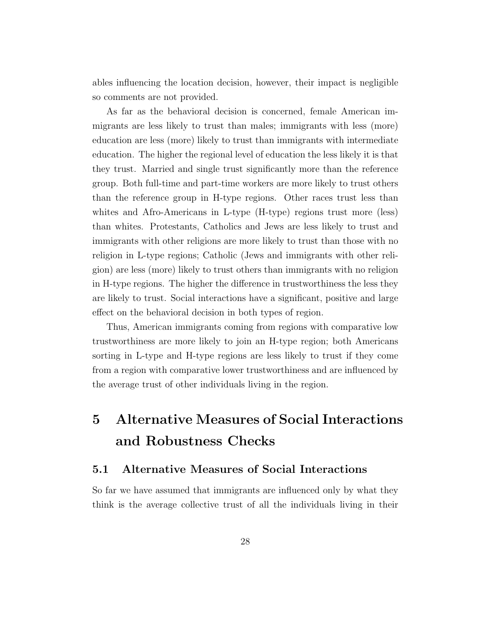ables influencing the location decision, however, their impact is negligible so comments are not provided.

As far as the behavioral decision is concerned, female American immigrants are less likely to trust than males; immigrants with less (more) education are less (more) likely to trust than immigrants with intermediate education. The higher the regional level of education the less likely it is that they trust. Married and single trust significantly more than the reference group. Both full-time and part-time workers are more likely to trust others than the reference group in H-type regions. Other races trust less than whites and Afro-Americans in L-type (H-type) regions trust more (less) than whites. Protestants, Catholics and Jews are less likely to trust and immigrants with other religions are more likely to trust than those with no religion in L-type regions; Catholic (Jews and immigrants with other religion) are less (more) likely to trust others than immigrants with no religion in H-type regions. The higher the difference in trustworthiness the less they are likely to trust. Social interactions have a significant, positive and large effect on the behavioral decision in both types of region.

Thus, American immigrants coming from regions with comparative low trustworthiness are more likely to join an H-type region; both Americans sorting in L-type and H-type regions are less likely to trust if they come from a region with comparative lower trustworthiness and are influenced by the average trust of other individuals living in the region.

## 5 Alternative Measures of Social Interactions and Robustness Checks

#### 5.1 Alternative Measures of Social Interactions

So far we have assumed that immigrants are influenced only by what they think is the average collective trust of all the individuals living in their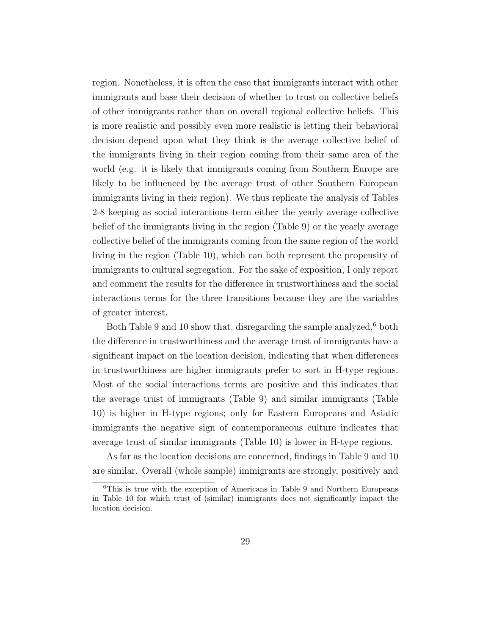region. Nonetheless, it is often the case that immigrants interact with other immigrants and base their decision of whether to trust on collective beliefs of other immigrants rather than on overall regional collective beliefs. This is more realistic and possibly even more realistic is letting their behavioral decision depend upon what they think is the average collective belief of the immigrants living in their region coming from their same area of the world (e.g. it is likely that immigrants coming from Southern Europe are likely to be influenced by the average trust of other Southern European immigrants living in their region). We thus replicate the analysis of Tables 2-8 keeping as social interactions term either the yearly average collective belief of the immigrants living in the region (Table 9) or the yearly average collective belief of the immigrants coming from the same region of the world living in the region (Table 10), which can both represent the propensity of immigrants to cultural segregation. For the sake of exposition, I only report and comment the results for the difference in trustworthiness and the social interactions terms for the three transitions because they are the variables of greater interest.

Both Table 9 and 10 show that, disregarding the sample analyzed, $6$  both the difference in trustworthiness and the average trust of immigrants have a significant impact on the location decision, indicating that when differences in trustworthiness are higher immigrants prefer to sort in H-type regions. Most of the social interactions terms are positive and this indicates that the average trust of immigrants (Table 9) and similar immigrants (Table 10) is higher in H-type regions; only for Eastern Europeans and Asiatic immigrants the negative sign of contemporaneous culture indicates that average trust of similar immigrants (Table 10) is lower in H-type regions.

As far as the location decisions are concerned, findings in Table 9 and 10 are similar. Overall (whole sample) immigrants are strongly, positively and

<sup>6</sup>This is true with the exception of Americans in Table 9 and Northern Europeans in Table 10 for which trust of (similar) immigrants does not significantly impact the location decision.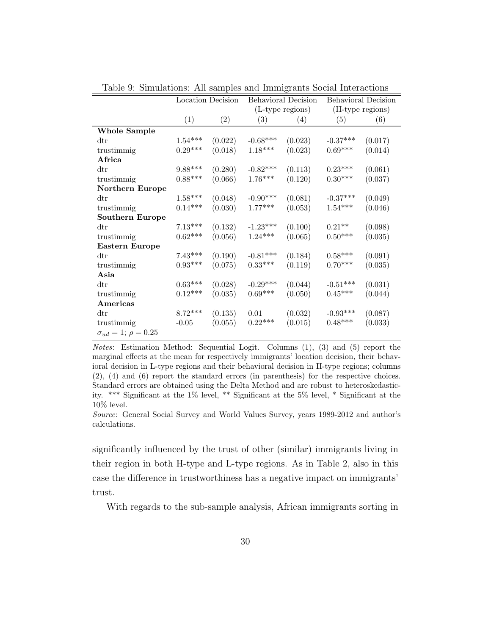|                                  | Location Decision     |                   | Behavioral Decision   |                   | Behavioral Decision |         |
|----------------------------------|-----------------------|-------------------|-----------------------|-------------------|---------------------|---------|
|                                  |                       |                   | (L-type regions)      |                   | (H-type regions)    |         |
|                                  | $\left(1\right)$      | $\left( 2\right)$ | $\left( 3\right)$     | $\left( 4\right)$ | (5)                 | (6)     |
| Whole Sample                     |                       |                   |                       |                   |                     |         |
| $\mathrm{d}\mathrm{tr}$          | $1.54***$             | (0.022)           | $-0.68***$            | (0.023)           | $-0.37***$          | (0.017) |
| trustimmig                       | $0.29^{\ast\ast\ast}$ | (0.018)           | $1.18***$             | (0.023)           | $0.69***$           | (0.014) |
| Africa                           |                       |                   |                       |                   |                     |         |
| $\mathrm{d}\mathrm{tr}$          | $9.88***$             | (0.280)           | $-0.82***$            | (0.113)           | $0.23***$           | (0.061) |
| trustimmig                       | $0.88^{***}\;$        | (0.066)           | $1.76***$             | (0.120)           | $0.30***$           | (0.037) |
| Northern Europe                  |                       |                   |                       |                   |                     |         |
| $\mathrm{d}\mathrm{tr}$          | $1.58^{***}\,$        | (0.048)           | $-0.90***$            | (0.081)           | $-0.37***$          | (0.049) |
| trustimmig                       | $0.14^{***}\,$        | (0.030)           | $1.77***$             | (0.053)           | $1.54***$           | (0.046) |
| Southern Europe                  |                       |                   |                       |                   |                     |         |
| $\mathrm{d}\mathrm{tr}$          | $7.13***$             | (0.132)           | $-1.23***$            | (0.100)           | $0.21**$            | (0.098) |
| trustimmig                       | $0.62***$             | (0.056)           | $1.24***$             | (0.065)           | $0.50***$           | (0.035) |
| Eastern Europe                   |                       |                   |                       |                   |                     |         |
| $\mathrm{d}\mathrm{tr}$          | $7.43***$             | (0.190)           | $-0.81***$            | (0.184)           | $0.58***$           | (0.091) |
| trustimmig                       | $0.93***$             | (0.075)           | $0.33^{\ast\ast\ast}$ | (0.119)           | $0.70***$           | (0.035) |
| Asia                             |                       |                   |                       |                   |                     |         |
| $\mathrm{d}\mathrm{tr}$          | $0.63^{***}\,$        | (0.028)           | $-0.29***$            | (0.044)           | $-0.51***$          | (0.031) |
| trustimmig                       | $0.12***$             | (0.035)           | $0.69^{***}\,$        | (0.050)           | $0.45***$           | (0.044) |
| Americas                         |                       |                   |                       |                   |                     |         |
| $\mathrm{d}\mathrm{tr}$          | $8.72***$             | (0.135)           | $0.01\,$              | (0.032)           | $-0.93***$          | (0.087) |
| trustimmig                       | $-0.05$               | (0.055)           | $0.22***$             | (0.015)           | $0.48***$           | (0.033) |
| $\sigma_{ud} = 1; \ \rho = 0.25$ |                       |                   |                       |                   |                     |         |

Table 9: Simulations: All samples and Immigrants Social Interactions

Notes: Estimation Method: Sequential Logit. Columns (1), (3) and (5) report the marginal effects at the mean for respectively immigrants' location decision, their behavioral decision in L-type regions and their behavioral decision in H-type regions; columns (2), (4) and (6) report the standard errors (in parenthesis) for the respective choices. Standard errors are obtained using the Delta Method and are robust to heteroskedasticity. \*\*\* Significant at the 1% level, \*\* Significant at the 5% level, \* Significant at the 10% level.

Source: General Social Survey and World Values Survey, years 1989-2012 and author's calculations.

significantly influenced by the trust of other (similar) immigrants living in their region in both H-type and L-type regions. As in Table 2, also in this case the difference in trustworthiness has a negative impact on immigrants' trust.

With regards to the sub-sample analysis, African immigrants sorting in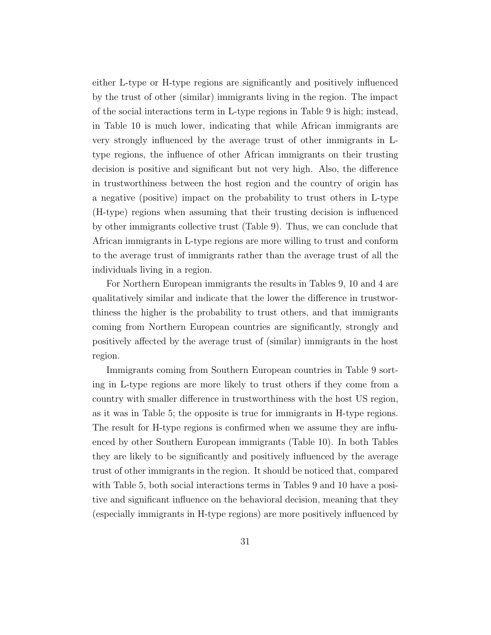either L-type or H-type regions are significantly and positively influenced by the trust of other (similar) immigrants living in the region. The impact of the social interactions term in L-type regions in Table 9 is high; instead, in Table 10 is much lower, indicating that while African immigrants are very strongly influenced by the average trust of other immigrants in Ltype regions, the influence of other African immigrants on their trusting decision is positive and significant but not very high. Also, the difference in trustworthiness between the host region and the country of origin has a negative (positive) impact on the probability to trust others in L-type (H-type) regions when assuming that their trusting decision is influenced by other immigrants collective trust (Table 9). Thus, we can conclude that African immigrants in L-type regions are more willing to trust and conform to the average trust of immigrants rather than the average trust of all the individuals living in a region.

For Northern European immigrants the results in Tables 9, 10 and 4 are qualitatively similar and indicate that the lower the difference in trustworthiness the higher is the probability to trust others, and that immigrants coming from Northern European countries are significantly, strongly and positively affected by the average trust of (similar) immigrants in the host region.

Immigrants coming from Southern European countries in Table 9 sorting in L-type regions are more likely to trust others if they come from a country with smaller difference in trustworthiness with the host US region, as it was in Table 5; the opposite is true for immigrants in H-type regions. The result for H-type regions is confirmed when we assume they are influenced by other Southern European immigrants (Table 10). In both Tables they are likely to be significantly and positively influenced by the average trust of other immigrants in the region. It should be noticed that, compared with Table 5, both social interactions terms in Tables 9 and 10 have a positive and significant influence on the behavioral decision, meaning that they (especially immigrants in H-type regions) are more positively influenced by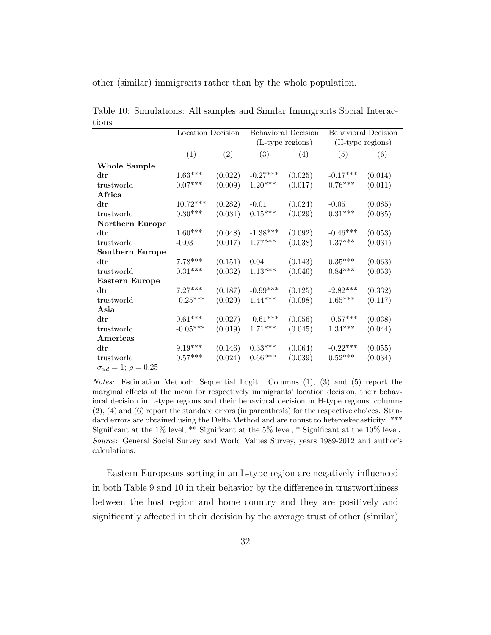other (similar) immigrants rather than by the whole population.

|                                  | Location Decision     |                   | <b>Behavioral Decision</b> |         | Behavioral Decision   |                   |
|----------------------------------|-----------------------|-------------------|----------------------------|---------|-----------------------|-------------------|
|                                  |                       |                   | (L-type regions)           |         | (H-type regions)      |                   |
|                                  | $\left( 1\right)$     | $\left( 2\right)$ | $\left( 3\right)$          | (4)     | (5)                   | $\left( 6\right)$ |
| <b>Whole Sample</b>              |                       |                   |                            |         |                       |                   |
| $\mathrm{d}\mathrm{tr}$          | $1.63***$             | (0.022)           | $-0.27***$                 | (0.025) | $-0.17***$            | (0.014)           |
| trustworld                       | $0.07***$             | (0.009)           | $1.20***$                  | (0.017) | $0.76***$             | (0.011)           |
| Africa                           |                       |                   |                            |         |                       |                   |
| $\mathrm{d}\mathrm{tr}$          | $10.72***$            | (0.282)           | $-0.01$                    | (0.024) | $-0.05$               | (0.085)           |
| trustworld                       | $0.30^{***}\,$        | (0.034)           | $0.15***$                  | (0.029) | $0.31***$             | (0.085)           |
| Northern Europe                  |                       |                   |                            |         |                       |                   |
| $\mathrm{d}\mathrm{tr}$          | $1.60***$             | (0.048)           | $-1.38***$                 | (0.092) | $-0.46***$            | (0.053)           |
| trustworld                       | $-0.03$               | (0.017)           | $1.77***$                  | (0.038) | $1.37***$             | (0.031)           |
| <b>Southern Europe</b>           |                       |                   |                            |         |                       |                   |
| $\mathrm{d}\mathrm{tr}$          | $7.78***$             | (0.151)           | 0.04                       | (0.143) | $0.35***$             | (0.063)           |
| trustworld                       | $0.31^{\ast\ast\ast}$ | (0.032)           | $1.13***$                  | (0.046) | $0.84***$             | (0.053)           |
| Eastern Europe                   |                       |                   |                            |         |                       |                   |
| $\mathrm{d}\mathrm{tr}$          | $7.27***$             | (0.187)           | $-0.99***$                 | (0.125) | $-2.82***$            | (0.332)           |
| trustworld                       | $-0.25***$            | (0.029)           | $1.44***$                  | (0.098) | $1.65***$             | (0.117)           |
| Asia                             |                       |                   |                            |         |                       |                   |
| $\mathrm{d}\mathrm{tr}$          | $0.61^{***}\,$        | (0.027)           | $-0.61***$                 | (0.056) | $-0.57***$            | (0.038)           |
| trustworld                       | $-0.05***$            | (0.019)           | $1.71***$                  | (0.045) | $1.34***$             | (0.044)           |
| Americas                         |                       |                   |                            |         |                       |                   |
| $\mathrm{d}\mathrm{tr}$          | $9.19^{***}\,$        | (0.146)           | $0.33***$                  | (0.064) | $-0.22***$            | (0.055)           |
| trustworld                       | $0.57^{\ast\ast\ast}$ | (0.024)           | $0.66***$                  | (0.039) | $0.52^{\ast\ast\ast}$ | (0.034)           |
| $\sigma_{ud} = 1; \ \rho = 0.25$ |                       |                   |                            |         |                       |                   |

Table 10: Simulations: All samples and Similar Immigrants Social Interactions

Notes: Estimation Method: Sequential Logit. Columns (1), (3) and (5) report the marginal effects at the mean for respectively immigrants' location decision, their behavioral decision in L-type regions and their behavioral decision in H-type regions; columns (2), (4) and (6) report the standard errors (in parenthesis) for the respective choices. Standard errors are obtained using the Delta Method and are robust to heteroskedasticity. \*\*\* Significant at the 1% level, \*\* Significant at the 5% level, \* Significant at the 10% level. Source: General Social Survey and World Values Survey, years 1989-2012 and author's calculations.

Eastern Europeans sorting in an L-type region are negatively influenced in both Table 9 and 10 in their behavior by the difference in trustworthiness between the host region and home country and they are positively and significantly affected in their decision by the average trust of other (similar)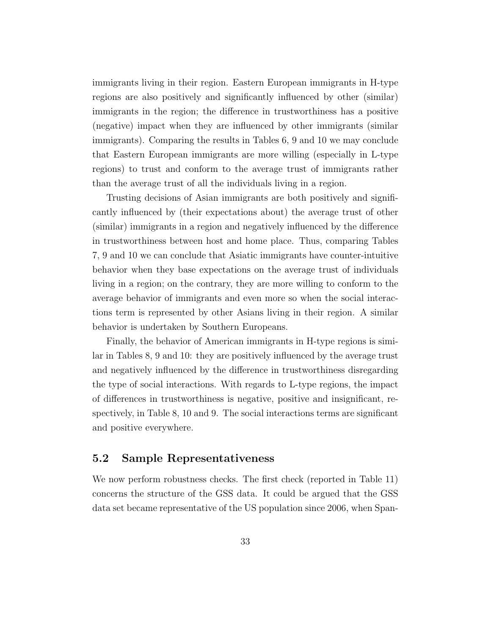immigrants living in their region. Eastern European immigrants in H-type regions are also positively and significantly influenced by other (similar) immigrants in the region; the difference in trustworthiness has a positive (negative) impact when they are influenced by other immigrants (similar immigrants). Comparing the results in Tables 6, 9 and 10 we may conclude that Eastern European immigrants are more willing (especially in L-type regions) to trust and conform to the average trust of immigrants rather than the average trust of all the individuals living in a region.

Trusting decisions of Asian immigrants are both positively and significantly influenced by (their expectations about) the average trust of other (similar) immigrants in a region and negatively influenced by the difference in trustworthiness between host and home place. Thus, comparing Tables 7, 9 and 10 we can conclude that Asiatic immigrants have counter-intuitive behavior when they base expectations on the average trust of individuals living in a region; on the contrary, they are more willing to conform to the average behavior of immigrants and even more so when the social interactions term is represented by other Asians living in their region. A similar behavior is undertaken by Southern Europeans.

Finally, the behavior of American immigrants in H-type regions is similar in Tables 8, 9 and 10: they are positively influenced by the average trust and negatively influenced by the difference in trustworthiness disregarding the type of social interactions. With regards to L-type regions, the impact of differences in trustworthiness is negative, positive and insignificant, respectively, in Table 8, 10 and 9. The social interactions terms are significant and positive everywhere.

#### 5.2 Sample Representativeness

We now perform robustness checks. The first check (reported in Table 11) concerns the structure of the GSS data. It could be argued that the GSS data set became representative of the US population since 2006, when Span-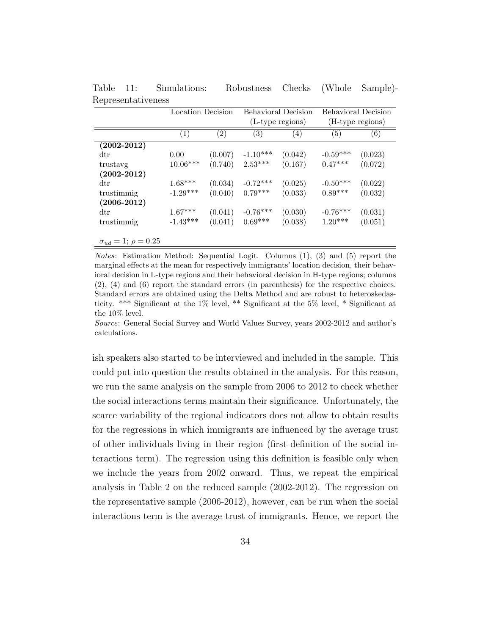|                                  | Location Decision |                   |                   | Behavioral Decision |            | <b>Behavioral Decision</b> |  |
|----------------------------------|-------------------|-------------------|-------------------|---------------------|------------|----------------------------|--|
|                                  |                   |                   |                   | (L-type regions)    |            | (H-type regions)           |  |
|                                  | $\left( 1\right)$ | $\left( 2\right)$ | $\left( 3\right)$ | (4)                 | (5)        | $\left( 6\right)$          |  |
| $\left( 2002\text{-}2012\right)$ |                   |                   |                   |                     |            |                            |  |
| $\rm{dtr}$                       | 0.00              | (0.007)           | $-1.10***$        | (0.042)             | $-0.59***$ | (0.023)                    |  |
| trustavg                         | $10.06***$        | (0.740)           | $2.53***$         | (0.167)             | $0.47***$  | (0.072)                    |  |
| $(2002 - 2012)$                  |                   |                   |                   |                     |            |                            |  |
| $\rm{dtr}$                       | $1.68***$         | (0.034)           | $-0.72***$        | (0.025)             | $-0.50***$ | (0.022)                    |  |
| trustimmig                       | $-1.29***$        | (0.040)           | $0.79***$         | (0.033)             | $0.89***$  | (0.032)                    |  |
| $(2006 - 2012)$                  |                   |                   |                   |                     |            |                            |  |
| $\rm{dtr}$                       | $1.67***$         | (0.041)           | $-0.76***$        | (0.030)             | $-0.76***$ | (0.031)                    |  |
| trustimmig                       | $-1.43***$        | (0.041)           | $0.69***$         | (0.038)             | $1.20***$  | (0.051)                    |  |
|                                  |                   |                   |                   |                     |            |                            |  |
| $\sigma_{ud} = 1; \ \rho = 0.25$ |                   |                   |                   |                     |            |                            |  |

Table 11: Simulations: Robustness Checks (Whole Sample)- Representativeness

*Notes*: Estimation Method: Sequential Logit. Columns  $(1)$ ,  $(3)$  and  $(5)$  report the marginal effects at the mean for respectively immigrants' location decision, their behavioral decision in L-type regions and their behavioral decision in H-type regions; columns (2), (4) and (6) report the standard errors (in parenthesis) for the respective choices. Standard errors are obtained using the Delta Method and are robust to heteroskedasticity. \*\*\* Significant at the 1% level, \*\* Significant at the 5% level, \* Significant at the 10% level.

Source: General Social Survey and World Values Survey, years 2002-2012 and author's calculations.

ish speakers also started to be interviewed and included in the sample. This could put into question the results obtained in the analysis. For this reason, we run the same analysis on the sample from 2006 to 2012 to check whether the social interactions terms maintain their significance. Unfortunately, the scarce variability of the regional indicators does not allow to obtain results for the regressions in which immigrants are influenced by the average trust of other individuals living in their region (first definition of the social interactions term). The regression using this definition is feasible only when we include the years from 2002 onward. Thus, we repeat the empirical analysis in Table 2 on the reduced sample (2002-2012). The regression on the representative sample (2006-2012), however, can be run when the social interactions term is the average trust of immigrants. Hence, we report the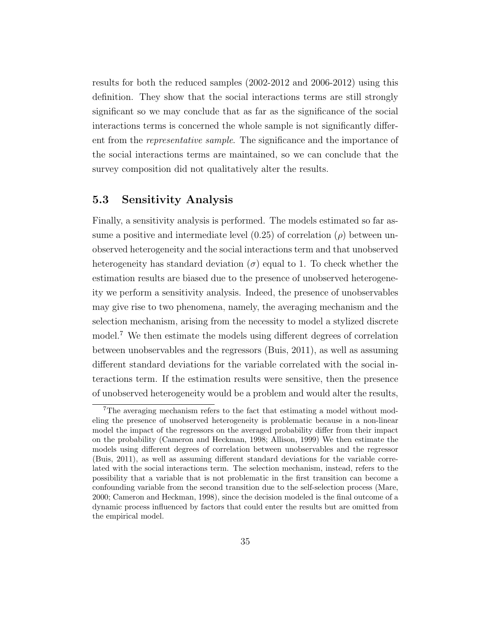results for both the reduced samples (2002-2012 and 2006-2012) using this definition. They show that the social interactions terms are still strongly significant so we may conclude that as far as the significance of the social interactions terms is concerned the whole sample is not significantly different from the representative sample. The significance and the importance of the social interactions terms are maintained, so we can conclude that the survey composition did not qualitatively alter the results.

### 5.3 Sensitivity Analysis

Finally, a sensitivity analysis is performed. The models estimated so far assume a positive and intermediate level  $(0.25)$  of correlation  $(\rho)$  between unobserved heterogeneity and the social interactions term and that unobserved heterogeneity has standard deviation  $(\sigma)$  equal to 1. To check whether the estimation results are biased due to the presence of unobserved heterogeneity we perform a sensitivity analysis. Indeed, the presence of unobservables may give rise to two phenomena, namely, the averaging mechanism and the selection mechanism, arising from the necessity to model a stylized discrete model.<sup>7</sup> We then estimate the models using different degrees of correlation between unobservables and the regressors (Buis, 2011), as well as assuming different standard deviations for the variable correlated with the social interactions term. If the estimation results were sensitive, then the presence of unobserved heterogeneity would be a problem and would alter the results,

<sup>7</sup>The averaging mechanism refers to the fact that estimating a model without modeling the presence of unobserved heterogeneity is problematic because in a non-linear model the impact of the regressors on the averaged probability differ from their impact on the probability (Cameron and Heckman, 1998; Allison, 1999) We then estimate the models using different degrees of correlation between unobservables and the regressor (Buis, 2011), as well as assuming different standard deviations for the variable correlated with the social interactions term. The selection mechanism, instead, refers to the possibility that a variable that is not problematic in the first transition can become a confounding variable from the second transition due to the self-selection process (Mare, 2000; Cameron and Heckman, 1998), since the decision modeled is the final outcome of a dynamic process influenced by factors that could enter the results but are omitted from the empirical model.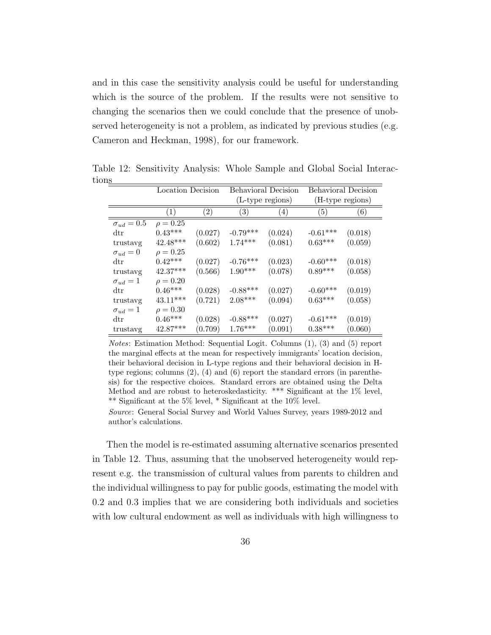and in this case the sensitivity analysis could be useful for understanding which is the source of the problem. If the results were not sensitive to changing the scenarios then we could conclude that the presence of unobserved heterogeneity is not a problem, as indicated by previous studies (e.g. Cameron and Heckman, 1998), for our framework.

|                         |                  | Location Decision |                   | <b>Behavioral Decision</b> | <b>Behavioral Decision</b> |         |
|-------------------------|------------------|-------------------|-------------------|----------------------------|----------------------------|---------|
|                         |                  |                   |                   | (L-type regions)           | (H-type regions)           |         |
|                         | $\left(1\right)$ | $\left( 2\right)$ | $\left( 3\right)$ | $\left( 4\right)$          | (5)                        | (6)     |
| $\sigma_{ud}=0.5$       | $\rho = 0.25$    |                   |                   |                            |                            |         |
| $\mathrm{d}\mathrm{tr}$ | $0.43***$        | (0.027)           | $-0.79***$        | (0.024)                    | $-0.61***$                 | (0.018) |
| trustavg                | $42.48***$       | (0.602)           | $1.74***$         | (0.081)                    | $0.63***$                  | (0.059) |
| $\sigma_{ud}=0$         | $\rho = 0.25$    |                   |                   |                            |                            |         |
| $\mathrm{d}\mathrm{tr}$ | $0.42***$        | (0.027)           | $-0.76***$        | (0.023)                    | $-0.60***$                 | (0.018) |
| trustavg                | $42.37***$       | (0.566)           | $1.90***$         | (0.078)                    | $0.89***$                  | (0.058) |
| $\sigma_{ud}=1$         | $\rho = 0.20$    |                   |                   |                            |                            |         |
| $\mathrm{d}\mathrm{tr}$ | $0.46***$        | (0.028)           | $-0.88***$        | (0.027)                    | $-0.60***$                 | (0.019) |
| trustavg                | $43.11***$       | (0.721)           | $2.08***$         | (0.094)                    | $0.63***$                  | (0.058) |
| $\sigma_{ud}=1$         | $\rho = 0.30$    |                   |                   |                            |                            |         |
| $\mathrm{d}\mathrm{tr}$ | $0.46***$        | (0.028)           | $-0.88***$        | (0.027)                    | $-0.61***$                 | (0.019) |
| trustavg                | $42.87***$       | (0.709)           | $1.76***$         | (0.091)                    | $0.38***$                  | (0.060) |

Table 12: Sensitivity Analysis: Whole Sample and Global Social Interactions

Notes: Estimation Method: Sequential Logit. Columns (1), (3) and (5) report the marginal effects at the mean for respectively immigrants' location decision, their behavioral decision in L-type regions and their behavioral decision in Htype regions; columns (2), (4) and (6) report the standard errors (in parenthesis) for the respective choices. Standard errors are obtained using the Delta Method and are robust to heteroskedasticity. \*\*\* Significant at the 1% level, \*\* Significant at the 5% level, \* Significant at the 10% level.

Source: General Social Survey and World Values Survey, years 1989-2012 and author's calculations.

Then the model is re-estimated assuming alternative scenarios presented in Table 12. Thus, assuming that the unobserved heterogeneity would represent e.g. the transmission of cultural values from parents to children and the individual willingness to pay for public goods, estimating the model with 0.2 and 0.3 implies that we are considering both individuals and societies with low cultural endowment as well as individuals with high willingness to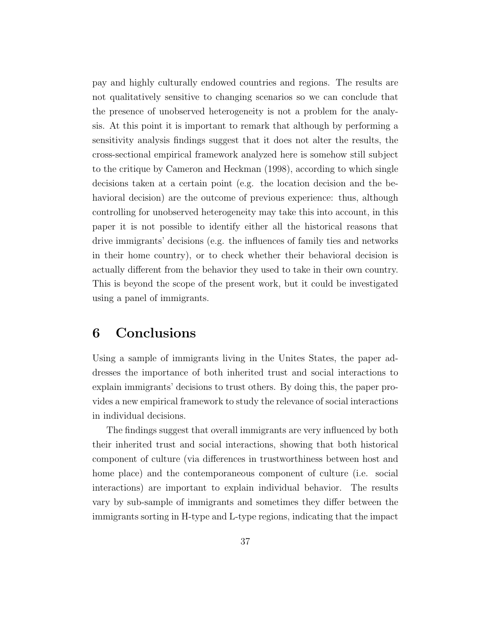pay and highly culturally endowed countries and regions. The results are not qualitatively sensitive to changing scenarios so we can conclude that the presence of unobserved heterogeneity is not a problem for the analysis. At this point it is important to remark that although by performing a sensitivity analysis findings suggest that it does not alter the results, the cross-sectional empirical framework analyzed here is somehow still subject to the critique by Cameron and Heckman (1998), according to which single decisions taken at a certain point (e.g. the location decision and the behavioral decision) are the outcome of previous experience: thus, although controlling for unobserved heterogeneity may take this into account, in this paper it is not possible to identify either all the historical reasons that drive immigrants' decisions (e.g. the influences of family ties and networks in their home country), or to check whether their behavioral decision is actually different from the behavior they used to take in their own country. This is beyond the scope of the present work, but it could be investigated using a panel of immigrants.

## 6 Conclusions

Using a sample of immigrants living in the Unites States, the paper addresses the importance of both inherited trust and social interactions to explain immigrants' decisions to trust others. By doing this, the paper provides a new empirical framework to study the relevance of social interactions in individual decisions.

The findings suggest that overall immigrants are very influenced by both their inherited trust and social interactions, showing that both historical component of culture (via differences in trustworthiness between host and home place) and the contemporaneous component of culture (i.e. social interactions) are important to explain individual behavior. The results vary by sub-sample of immigrants and sometimes they differ between the immigrants sorting in H-type and L-type regions, indicating that the impact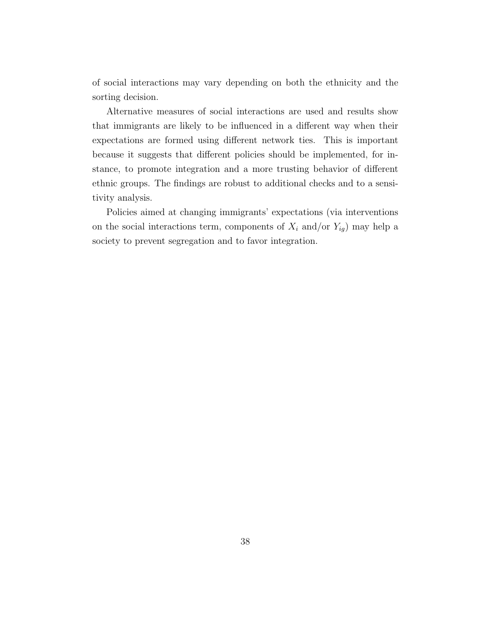of social interactions may vary depending on both the ethnicity and the sorting decision.

Alternative measures of social interactions are used and results show that immigrants are likely to be influenced in a different way when their expectations are formed using different network ties. This is important because it suggests that different policies should be implemented, for instance, to promote integration and a more trusting behavior of different ethnic groups. The findings are robust to additional checks and to a sensitivity analysis.

Policies aimed at changing immigrants' expectations (via interventions on the social interactions term, components of  $X_i$  and/or  $Y_{ig}$ ) may help a society to prevent segregation and to favor integration.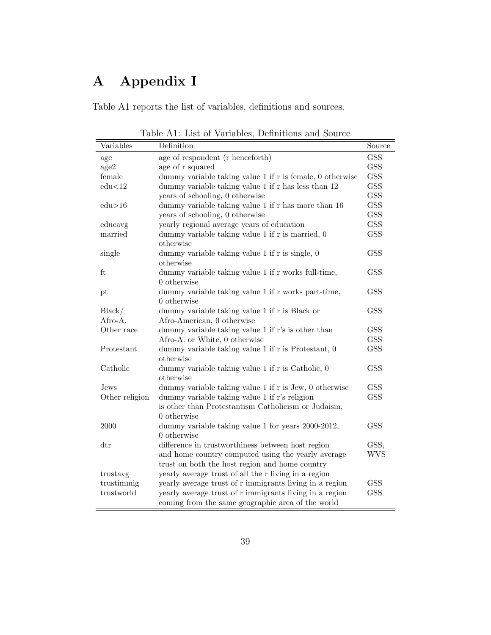## A Appendix I

Table A1 reports the list of variables, definitions and sources.

| Variables               | Definition                                                                                                   | Source                   |  |  |  |
|-------------------------|--------------------------------------------------------------------------------------------------------------|--------------------------|--|--|--|
| age                     | age of respondent (r henceforth)                                                                             | <b>GSS</b>               |  |  |  |
| age2                    | age of r squared                                                                                             | <b>GSS</b>               |  |  |  |
| female                  | dummy variable taking value 1 if r is female, 0 otherwise                                                    | <b>GSS</b>               |  |  |  |
| edu<12                  | dummy variable taking value 1 if r has less than 12                                                          | <b>GSS</b>               |  |  |  |
|                         | years of schooling, 0 otherwise                                                                              | <b>GSS</b>               |  |  |  |
| edu > 16                | dummy variable taking value 1 if r has more than 16                                                          | <b>GSS</b>               |  |  |  |
|                         | years of schooling, 0 otherwise                                                                              | <b>GSS</b><br><b>GSS</b> |  |  |  |
| educavg                 | yearly regional average years of education                                                                   |                          |  |  |  |
| married                 | dummy variable taking value 1 if r is married, 0<br>otherwise                                                | <b>GSS</b>               |  |  |  |
| single                  | dummy variable taking value $1$ if $r$ is single, $0$<br>otherwise                                           | <b>GSS</b>               |  |  |  |
| ft                      | dummy variable taking value 1 if r works full-time,<br>0 otherwise                                           | <b>GSS</b>               |  |  |  |
| pt                      | dummy variable taking value 1 if r works part-time,<br>0 otherwise                                           | <b>GSS</b>               |  |  |  |
| Black/<br>Afro-A.       | dummy variable taking value 1 if r is Black or<br>Afro-American, 0 otherwise                                 | <b>GSS</b>               |  |  |  |
| Other race              | dummy variable taking value 1 if r's is other than                                                           | <b>GSS</b>               |  |  |  |
|                         | Afro-A. or White, 0 otherwise                                                                                | <b>GSS</b>               |  |  |  |
| Protestant              | dummy variable taking value 1 if r is Protestant, 0<br>otherwise                                             | <b>GSS</b>               |  |  |  |
| Catholic                | dummy variable taking value 1 if r is Catholic, 0<br>otherwise                                               | <b>GSS</b>               |  |  |  |
| Jews                    | dummy variable taking value 1 if r is Jew, 0 otherwise                                                       | <b>GSS</b>               |  |  |  |
| Other religion          | dummy variable taking value 1 if r's religion                                                                | <b>GSS</b>               |  |  |  |
|                         | is other than Protestantism Catholicism or Judaism,<br>$0$ otherwise                                         |                          |  |  |  |
| 2000                    | dummy variable taking value 1 for years 2000-2012,<br>0 otherwise                                            | <b>GSS</b>               |  |  |  |
| $\mathrm{d}\mathrm{tr}$ | difference in trustworthiness between host region<br>and home country computed using the yearly average      | GSS,<br><b>WVS</b>       |  |  |  |
| trustavg                | trust on both the host region and home country<br>yearly average trust of all the r living in a region       |                          |  |  |  |
| trustimmig              | yearly average trust of r immigrants living in a region                                                      | <b>GSS</b>               |  |  |  |
| trustworld              | yearly average trust of r immigrants living in a region<br>coming from the same geographic area of the world | <b>GSS</b>               |  |  |  |

Table A1: List of Variables, Definitions and Source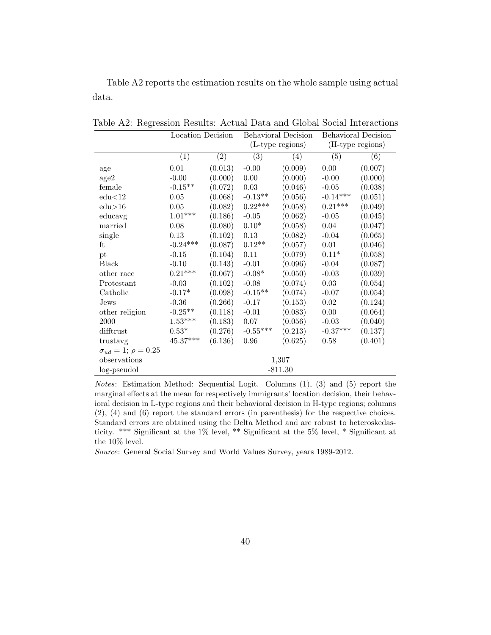Table A2 reports the estimation results on the whole sample using actual data.

|                                   | Location Decision      |                   | Behavioral Decision |                  | <b>Behavioral Decision</b> |         |  |
|-----------------------------------|------------------------|-------------------|---------------------|------------------|----------------------------|---------|--|
|                                   |                        |                   | (L-type regions)    |                  | (H-type regions)           |         |  |
|                                   | $\left( 1\right)$      | $\left( 2\right)$ | $\left( 3\right)$   | $\left(4\right)$ | (5)                        | (6)     |  |
| age                               | $0.01\,$               | (0.013)           | $-0.00$             | (0.009)          | $\overline{0.00}$          | (0.007) |  |
| age2                              | $-0.00$                | (0.000)           | $0.00\,$            | (0.000)          | $-0.00$                    | (0.000) |  |
| female                            | $-0.15**$              | (0.072)           | $0.03\,$            | (0.046)          | $-0.05$                    | (0.038) |  |
| edu<12                            | $0.05\,$               | (0.068)           | $-0.13**$           | (0.056)          | $-0.14***$                 | (0.051) |  |
| edu>16                            | $0.05\,$               | (0.082)           | $0.22***$           | (0.058)          | $0.21***$                  | (0.049) |  |
| educavg                           | $1.01^{***}\;$         | (0.186)           | $-0.05$             | (0.062)          | $-0.05$                    | (0.045) |  |
| married                           | 0.08                   | (0.080)           | $0.10*$             | (0.058)          | $0.04\,$                   | (0.047) |  |
| single                            | 0.13                   | (0.102)           | 0.13                | (0.082)          | $-0.04$                    | (0.065) |  |
| ft                                | $-0.24***$             | (0.087)           | $0.12**$            | (0.057)          | 0.01                       | (0.046) |  |
| pt                                | $-0.15$                | (0.104)           | $0.11\,$            | (0.079)          | $0.11*$                    | (0.058) |  |
| <b>Black</b>                      | $-0.10$                | (0.143)           | $-0.01$             | (0.096)          | $-0.04$                    | (0.087) |  |
| other race                        | $0.21***$              | (0.067)           | $-0.08*$            | (0.050)          | $-0.03$                    | (0.039) |  |
| Protestant                        | $-0.03$                | (0.102)           | $-0.08$             | (0.074)          | $0.03\,$                   | (0.054) |  |
| Catholic                          | $-0.17*$               | (0.098)           | $-0.15**$           | (0.074)          | $-0.07$                    | (0.054) |  |
| $_{\mathrm{Jews}}$                | $-0.36$                | (0.266)           | $-0.17$             | (0.153)          | $\rm 0.02$                 | (0.124) |  |
| other religion                    | $-0.25**$              | (0.118)           | $-0.01$             | (0.083)          | $0.00\,$                   | (0.064) |  |
| 2000                              | $1.53^{\ast\ast\ast}$  | (0.183)           | 0.07                | (0.056)          | $-0.03$                    | (0.040) |  |
| difftrust                         | $0.53*$                | (0.276)           | $-0.55***$          | (0.213)          | $-0.37***$                 | (0.137) |  |
| trustavg                          | $45.37^{\ast\ast\ast}$ | (6.136)           | 0.96                | (0.625)          | 0.58                       | (0.401) |  |
| $\sigma_{ud} = 1$ ; $\rho = 0.25$ |                        |                   |                     |                  |                            |         |  |
| observations                      | 1,307                  |                   |                     |                  |                            |         |  |
| log-pseudol                       | $-811.30$              |                   |                     |                  |                            |         |  |

Table A2: Regression Results: Actual Data and Global Social Interactions

Notes: Estimation Method: Sequential Logit. Columns (1), (3) and (5) report the marginal effects at the mean for respectively immigrants' location decision, their behavioral decision in L-type regions and their behavioral decision in H-type regions; columns (2), (4) and (6) report the standard errors (in parenthesis) for the respective choices. Standard errors are obtained using the Delta Method and are robust to heteroskedasticity. \*\*\* Significant at the 1% level, \*\* Significant at the 5% level, \* Significant at the 10% level.

Source: General Social Survey and World Values Survey, years 1989-2012.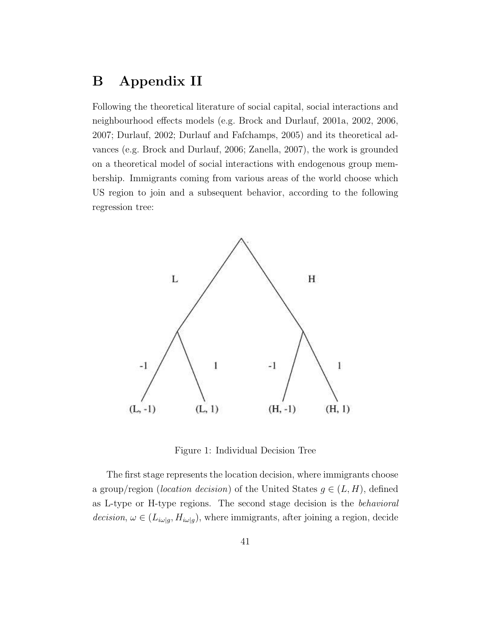## B Appendix II

Following the theoretical literature of social capital, social interactions and neighbourhood effects models (e.g. Brock and Durlauf, 2001a, 2002, 2006, 2007; Durlauf, 2002; Durlauf and Fafchamps, 2005) and its theoretical advances (e.g. Brock and Durlauf, 2006; Zanella, 2007), the work is grounded on a theoretical model of social interactions with endogenous group membership. Immigrants coming from various areas of the world choose which US region to join and a subsequent behavior, according to the following regression tree:



Figure 1: Individual Decision Tree

The first stage represents the location decision, where immigrants choose a group/region (*location decision*) of the United States  $g \in (L, H)$ , defined as L-type or H-type regions. The second stage decision is the behavioral decision,  $\omega \in (L_{i\omega|g}, H_{i\omega|g})$ , where immigrants, after joining a region, decide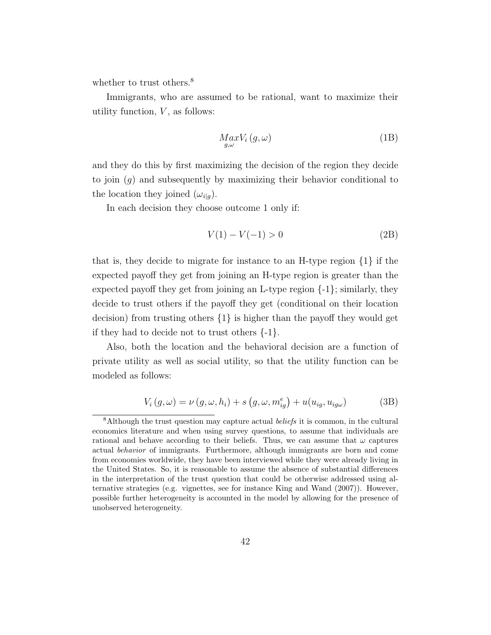whether to trust others.<sup>8</sup>

Immigrants, who are assumed to be rational, want to maximize their utility function,  $V$ , as follows:

$$
Max_{g,\omega} V_i(g,\omega) \tag{1B}
$$

and they do this by first maximizing the decision of the region they decide to join  $(q)$  and subsequently by maximizing their behavior conditional to the location they joined  $(\omega_{i|g})$ .

In each decision they choose outcome 1 only if:

$$
V(1) - V(-1) > 0 \tag{2B}
$$

that is, they decide to migrate for instance to an H-type region  $\{1\}$  if the expected payoff they get from joining an H-type region is greater than the expected payoff they get from joining an L-type region  $\{-1\}$ ; similarly, they decide to trust others if the payoff they get (conditional on their location decision) from trusting others  $\{1\}$  is higher than the payoff they would get if they had to decide not to trust others  $\{-1\}$ .

Also, both the location and the behavioral decision are a function of private utility as well as social utility, so that the utility function can be modeled as follows:

$$
V_i(g,\omega) = \nu(g,\omega,h_i) + s(g,\omega,m_{ig}^e) + u(u_{ig},u_{ig\omega})
$$
 (3B)

 $8$ Although the trust question may capture actual *beliefs* it is common, in the cultural economics literature and when using survey questions, to assume that individuals are rational and behave according to their beliefs. Thus, we can assume that  $\omega$  captures actual behavior of immigrants. Furthermore, although immigrants are born and come from economies worldwide, they have been interviewed while they were already living in the United States. So, it is reasonable to assume the absence of substantial differences in the interpretation of the trust question that could be otherwise addressed using alternative strategies (e.g. vignettes, see for instance King and Wand (2007)). However, possible further heterogeneity is accounted in the model by allowing for the presence of unobserved heterogeneity.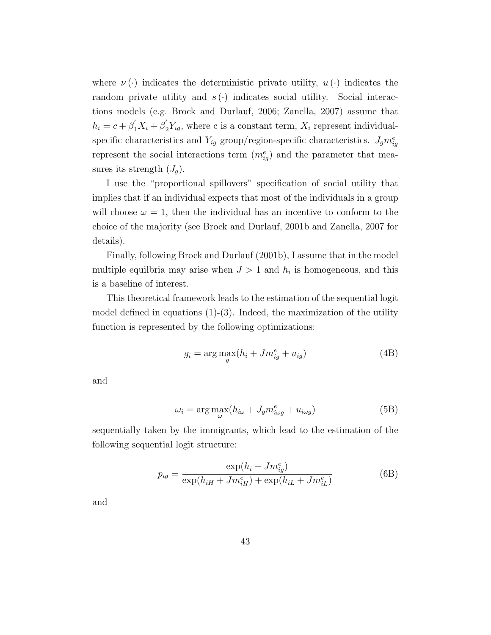where  $\nu(\cdot)$  indicates the deterministic private utility,  $u(\cdot)$  indicates the random private utility and  $s(\cdot)$  indicates social utility. Social interactions models (e.g. Brock and Durlauf, 2006; Zanella, 2007) assume that  $h_i = c + \beta_1' X_i + \beta_2' Y_{ig}$ , where c is a constant term,  $X_i$  represent individualspecific characteristics and  $Y_{ig}$  group/region-specific characteristics.  $J_g m_{ig}^e$ represent the social interactions term  $(m_{ig}^e)$  and the parameter that measures its strength  $(J_q)$ .

I use the "proportional spillovers" specification of social utility that implies that if an individual expects that most of the individuals in a group will choose  $\omega = 1$ , then the individual has an incentive to conform to the choice of the majority (see Brock and Durlauf, 2001b and Zanella, 2007 for details).

Finally, following Brock and Durlauf (2001b), I assume that in the model multiple equilbria may arise when  $J > 1$  and  $h_i$  is homogeneous, and this is a baseline of interest.

This theoretical framework leads to the estimation of the sequential logit model defined in equations  $(1)-(3)$ . Indeed, the maximization of the utility function is represented by the following optimizations:

$$
g_i = \underset{g}{\arg\max} (h_i + Jm_{ig}^e + u_{ig})
$$
\n(4B)

and

$$
\omega_i = \arg \max_{\omega} (h_{i\omega} + J_g m_{i\omega g}^e + u_{i\omega g})
$$
 (5B)

sequentially taken by the immigrants, which lead to the estimation of the following sequential logit structure:

$$
p_{ig} = \frac{\exp(h_i + Jm_{ig}^e)}{\exp(h_{iH} + Jm_{iH}^e) + \exp(h_{iL} + Jm_{iL}^e)}
$$
(6B)

and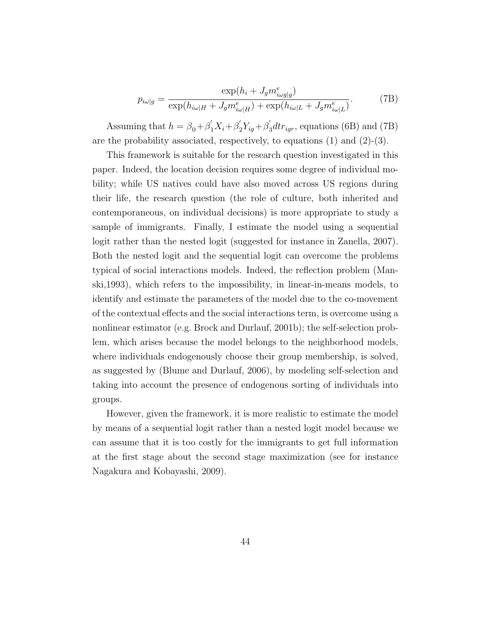$$
p_{i\omega|g} = \frac{\exp(h_i + J_g m_{i\omega g|g}^e)}{\exp(h_{i\omega|H} + J_g m_{i\omega|H}^e) + \exp(h_{i\omega|L} + J_g m_{i\omega|L}^e)}.
$$
(7B)

Assuming that  $h = \beta_0 + \beta_1' X_i + \beta_2' Y_{ig} + \beta_3' dt_{rigr}$ , equations (6B) and (7B) are the probability associated, respectively, to equations (1) and (2)-(3).

This framework is suitable for the research question investigated in this paper. Indeed, the location decision requires some degree of individual mobility; while US natives could have also moved across US regions during their life, the research question (the role of culture, both inherited and contemporaneous, on individual decisions) is more appropriate to study a sample of immigrants. Finally, I estimate the model using a sequential logit rather than the nested logit (suggested for instance in Zanella, 2007). Both the nested logit and the sequential logit can overcome the problems typical of social interactions models. Indeed, the reflection problem (Manski,1993), which refers to the impossibility, in linear-in-means models, to identify and estimate the parameters of the model due to the co-movement of the contextual effects and the social interactions term, is overcome using a nonlinear estimator (e.g. Brock and Durlauf, 2001b); the self-selection problem, which arises because the model belongs to the neighborhood models, where individuals endogenously choose their group membership, is solved, as suggested by (Blume and Durlauf, 2006), by modeling self-selection and taking into account the presence of endogenous sorting of individuals into groups.

However, given the framework, it is more realistic to estimate the model by means of a sequential logit rather than a nested logit model because we can assume that it is too costly for the immigrants to get full information at the first stage about the second stage maximization (see for instance Nagakura and Kobayashi, 2009).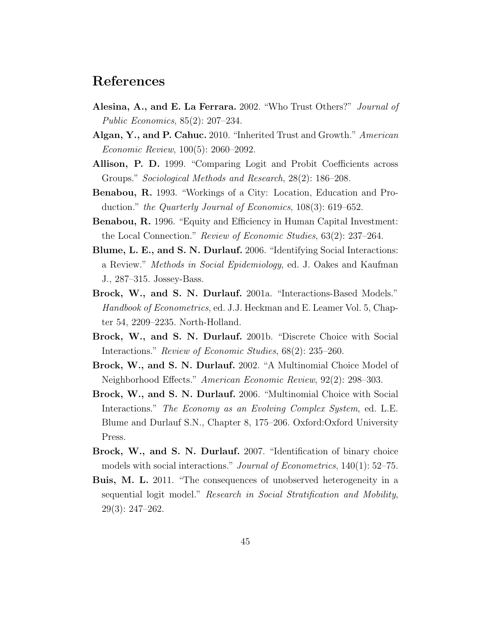### References

- Alesina, A., and E. La Ferrara. 2002. "Who Trust Others?" Journal of Public Economics, 85(2): 207–234.
- Algan, Y., and P. Cahuc. 2010. "Inherited Trust and Growth." American Economic Review, 100(5): 2060–2092.
- Allison, P. D. 1999. "Comparing Logit and Probit Coefficients across Groups." Sociological Methods and Research, 28(2): 186–208.
- Benabou, R. 1993. "Workings of a City: Location, Education and Production." the Quarterly Journal of Economics, 108(3): 619–652.
- Benabou, R. 1996. "Equity and Efficiency in Human Capital Investment: the Local Connection." Review of Economic Studies, 63(2): 237–264.
- Blume, L. E., and S. N. Durlauf. 2006. "Identifying Social Interactions: a Review." Methods in Social Epidemiology, ed. J. Oakes and Kaufman J., 287–315. Jossey-Bass.
- Brock, W., and S. N. Durlauf. 2001a. "Interactions-Based Models." Handbook of Econometrics, ed. J.J. Heckman and E. Leamer Vol. 5, Chapter 54, 2209–2235. North-Holland.
- Brock, W., and S. N. Durlauf. 2001b. "Discrete Choice with Social Interactions." Review of Economic Studies, 68(2): 235–260.
- Brock, W., and S. N. Durlauf. 2002. "A Multinomial Choice Model of Neighborhood Effects." American Economic Review, 92(2): 298–303.
- Brock, W., and S. N. Durlauf. 2006. "Multinomial Choice with Social Interactions." The Economy as an Evolving Complex System, ed. L.E. Blume and Durlauf S.N., Chapter 8, 175–206. Oxford:Oxford University Press.
- Brock, W., and S. N. Durlauf. 2007. "Identification of binary choice models with social interactions." Journal of Econometrics, 140(1): 52–75.
- Buis, M. L. 2011. "The consequences of unobserved heterogeneity in a sequential logit model." Research in Social Stratification and Mobility, 29(3): 247–262.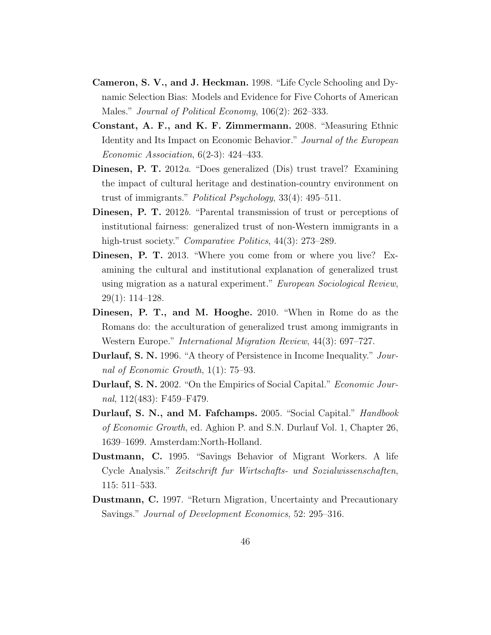- Cameron, S. V., and J. Heckman. 1998. "Life Cycle Schooling and Dynamic Selection Bias: Models and Evidence for Five Cohorts of American Males." *Journal of Political Economy*, 106(2): 262–333.
- Constant, A. F., and K. F. Zimmermann. 2008. "Measuring Ethnic Identity and Its Impact on Economic Behavior." Journal of the European Economic Association, 6(2-3): 424–433.
- Dinesen, P. T. 2012a. "Does generalized (Dis) trust travel? Examining the impact of cultural heritage and destination-country environment on trust of immigrants." Political Psychology, 33(4): 495–511.
- Dinesen, P. T. 2012b. "Parental transmission of trust or perceptions of institutional fairness: generalized trust of non-Western immigrants in a high-trust society." *Comparative Politics*, 44(3): 273–289.
- Dinesen, P. T. 2013. "Where you come from or where you live? Examining the cultural and institutional explanation of generalized trust using migration as a natural experiment." European Sociological Review, 29(1): 114–128.
- Dinesen, P. T., and M. Hooghe. 2010. "When in Rome do as the Romans do: the acculturation of generalized trust among immigrants in Western Europe." International Migration Review, 44(3): 697–727.
- Durlauf, S. N. 1996. "A theory of Persistence in Income Inequality." Journal of Economic Growth, 1(1): 75–93.
- Durlauf, S. N. 2002. "On the Empirics of Social Capital." Economic Journal, 112(483): F459–F479.
- Durlauf, S. N., and M. Fafchamps. 2005. "Social Capital." *Handbook* of Economic Growth, ed. Aghion P. and S.N. Durlauf Vol. 1, Chapter 26, 1639–1699. Amsterdam:North-Holland.
- Dustmann, C. 1995. "Savings Behavior of Migrant Workers. A life Cycle Analysis." Zeitschrift fur Wirtschafts- und Sozialwissenschaften, 115: 511–533.
- Dustmann, C. 1997. "Return Migration, Uncertainty and Precautionary Savings." Journal of Development Economics, 52: 295–316.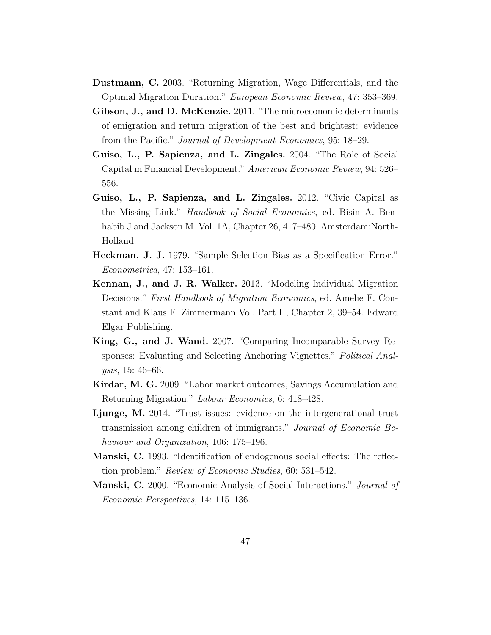- Dustmann, C. 2003. "Returning Migration, Wage Differentials, and the Optimal Migration Duration." European Economic Review, 47: 353–369.
- Gibson, J., and D. McKenzie. 2011. "The microeconomic determinants of emigration and return migration of the best and brightest: evidence from the Pacific." Journal of Development Economics, 95: 18–29.
- Guiso, L., P. Sapienza, and L. Zingales. 2004. "The Role of Social Capital in Financial Development." American Economic Review, 94: 526– 556.
- Guiso, L., P. Sapienza, and L. Zingales. 2012. "Civic Capital as the Missing Link." Handbook of Social Economics, ed. Bisin A. Benhabib J and Jackson M. Vol. 1A, Chapter 26, 417–480. Amsterdam:North-Holland.
- Heckman, J. J. 1979. "Sample Selection Bias as a Specification Error." Econometrica, 47: 153–161.
- Kennan, J., and J. R. Walker. 2013. "Modeling Individual Migration Decisions." First Handbook of Migration Economics, ed. Amelie F. Constant and Klaus F. Zimmermann Vol. Part II, Chapter 2, 39–54. Edward Elgar Publishing.
- King, G., and J. Wand. 2007. "Comparing Incomparable Survey Responses: Evaluating and Selecting Anchoring Vignettes." Political Analysis, 15: 46–66.
- Kirdar, M. G. 2009. "Labor market outcomes, Savings Accumulation and Returning Migration." Labour Economics, 6: 418–428.
- Ljunge, M. 2014. "Trust issues: evidence on the intergenerational trust transmission among children of immigrants." Journal of Economic Behaviour and Organization, 106: 175–196.
- Manski, C. 1993. "Identification of endogenous social effects: The reflection problem." Review of Economic Studies, 60: 531–542.
- Manski, C. 2000. "Economic Analysis of Social Interactions." Journal of Economic Perspectives, 14: 115–136.